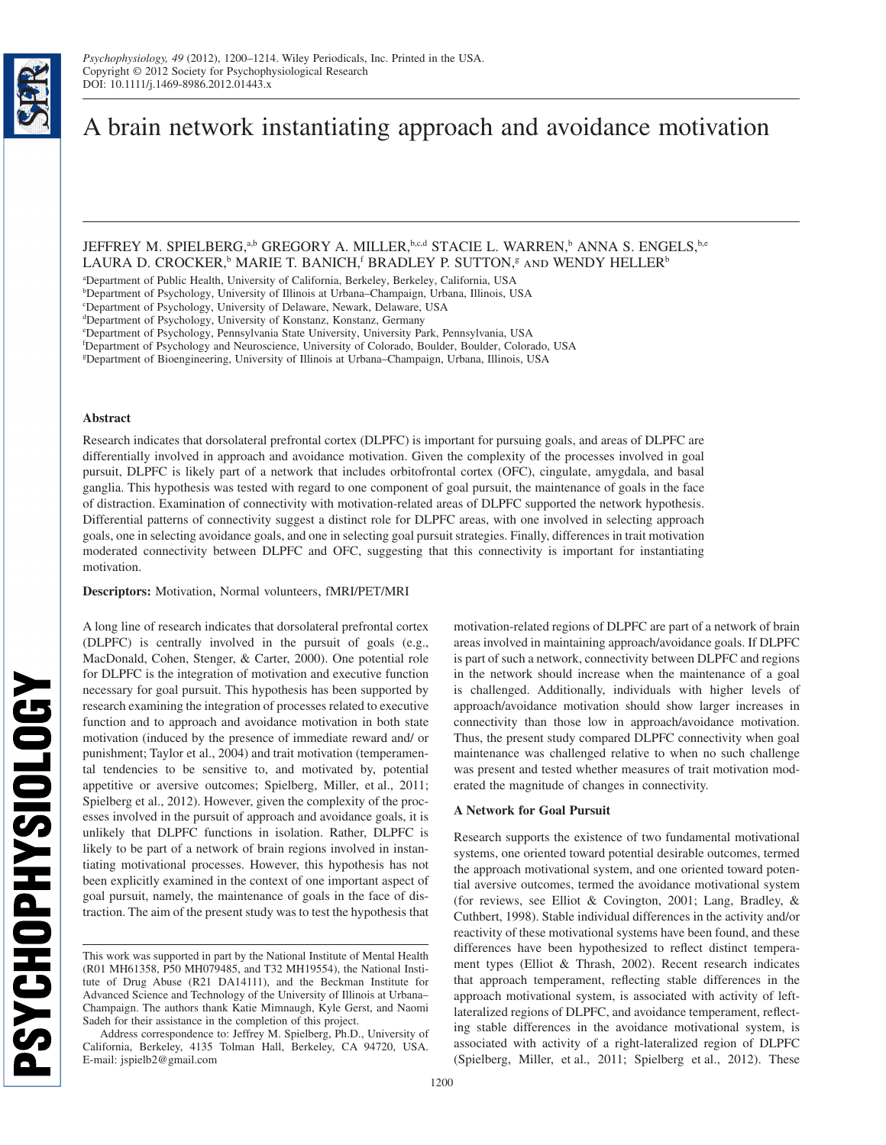

bs\_bs\_banner

**PSYCHOPHYSIOLOGY** 

# A brain network instantiating approach and avoidance motivation

JEFFREY M. SPIELBERG,<sup>a,b</sup> GREGORY A. MILLER, b,c,d STACIE L. WARREN,<sup>b</sup> ANNA S. ENGELS, b,e LAURA D. CROCKER,<sup>b</sup> MARIE T. BANICH,<sup>f</sup> BRADLEY P. SUTTON,<sup>g</sup> and WENDY HELLER<sup>b</sup>

a Department of Public Health, University of California, Berkeley, Berkeley, California, USA

b Department of Psychology, University of Illinois at Urbana–Champaign, Urbana, Illinois, USA

c Department of Psychology, University of Delaware, Newark, Delaware, USA

e Department of Psychology, Pennsylvania State University, University Park, Pennsylvania, USA

f Department of Psychology and Neuroscience, University of Colorado, Boulder, Boulder, Colorado, USA

g Department of Bioengineering, University of Illinois at Urbana–Champaign, Urbana, Illinois, USA

# **Abstract**

Research indicates that dorsolateral prefrontal cortex (DLPFC) is important for pursuing goals, and areas of DLPFC are differentially involved in approach and avoidance motivation. Given the complexity of the processes involved in goal pursuit, DLPFC is likely part of a network that includes orbitofrontal cortex (OFC), cingulate, amygdala, and basal ganglia. This hypothesis was tested with regard to one component of goal pursuit, the maintenance of goals in the face of distraction. Examination of connectivity with motivation-related areas of DLPFC supported the network hypothesis. Differential patterns of connectivity suggest a distinct role for DLPFC areas, with one involved in selecting approach goals, one in selecting avoidance goals, and one in selecting goal pursuit strategies. Finally, differences in trait motivation moderated connectivity between DLPFC and OFC, suggesting that this connectivity is important for instantiating motivation.

**Descriptors:** Motivation, Normal volunteers, fMRI/PET/MRI

A long line of research indicates that dorsolateral prefrontal cortex (DLPFC) is centrally involved in the pursuit of goals (e.g., MacDonald, Cohen, Stenger, & Carter, 2000). One potential role for DLPFC is the integration of motivation and executive function necessary for goal pursuit. This hypothesis has been supported by research examining the integration of processes related to executive function and to approach and avoidance motivation in both state motivation (induced by the presence of immediate reward and/ or punishment; Taylor et al., 2004) and trait motivation (temperamental tendencies to be sensitive to, and motivated by, potential appetitive or aversive outcomes; Spielberg, Miller, et al., 2011; Spielberg et al., 2012). However, given the complexity of the processes involved in the pursuit of approach and avoidance goals, it is unlikely that DLPFC functions in isolation. Rather, DLPFC is likely to be part of a network of brain regions involved in instantiating motivational processes. However, this hypothesis has not been explicitly examined in the context of one important aspect of goal pursuit, namely, the maintenance of goals in the face of distraction. The aim of the present study was to test the hypothesis that

Address correspondence to: Jeffrey M. Spielberg, Ph.D., University of California, Berkeley, 4135 Tolman Hall, Berkeley, CA 94720, USA. E-mail: jspielb2@gmail.com

motivation-related regions of DLPFC are part of a network of brain areas involved in maintaining approach/avoidance goals. If DLPFC is part of such a network, connectivity between DLPFC and regions in the network should increase when the maintenance of a goal is challenged. Additionally, individuals with higher levels of approach/avoidance motivation should show larger increases in connectivity than those low in approach/avoidance motivation. Thus, the present study compared DLPFC connectivity when goal maintenance was challenged relative to when no such challenge was present and tested whether measures of trait motivation moderated the magnitude of changes in connectivity.

# **A Network for Goal Pursuit**

Research supports the existence of two fundamental motivational systems, one oriented toward potential desirable outcomes, termed the approach motivational system, and one oriented toward potential aversive outcomes, termed the avoidance motivational system (for reviews, see Elliot & Covington, 2001; Lang, Bradley, & Cuthbert, 1998). Stable individual differences in the activity and/or reactivity of these motivational systems have been found, and these differences have been hypothesized to reflect distinct temperament types (Elliot & Thrash, 2002). Recent research indicates that approach temperament, reflecting stable differences in the approach motivational system, is associated with activity of leftlateralized regions of DLPFC, and avoidance temperament, reflecting stable differences in the avoidance motivational system, is associated with activity of a right-lateralized region of DLPFC (Spielberg, Miller, et al., 2011; Spielberg et al., 2012). These

d Department of Psychology, University of Konstanz, Konstanz, Germany

This work was supported in part by the National Institute of Mental Health (R01 MH61358, P50 MH079485, and T32 MH19554), the National Institute of Drug Abuse (R21 DA14111), and the Beckman Institute for Advanced Science and Technology of the University of Illinois at Urbana– Champaign. The authors thank Katie Mimnaugh, Kyle Gerst, and Naomi Sadeh for their assistance in the completion of this project.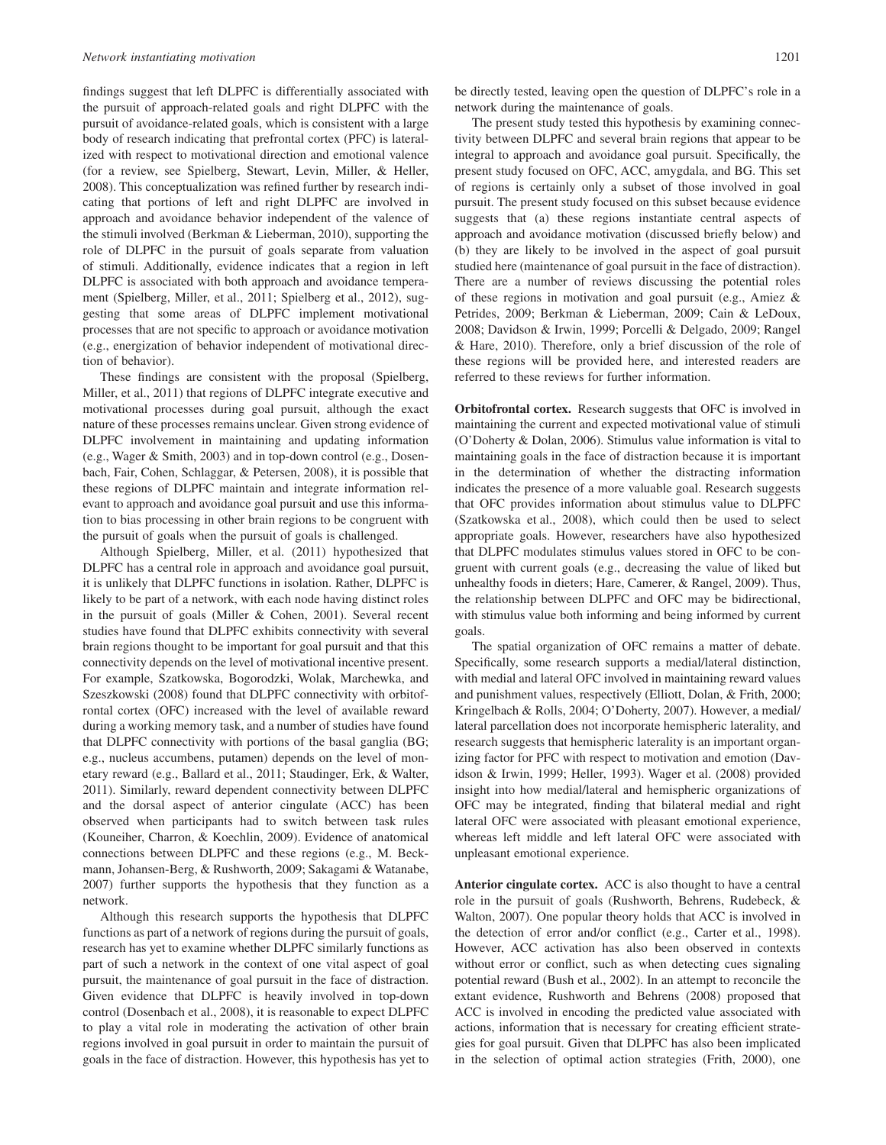findings suggest that left DLPFC is differentially associated with the pursuit of approach-related goals and right DLPFC with the pursuit of avoidance-related goals, which is consistent with a large body of research indicating that prefrontal cortex (PFC) is lateralized with respect to motivational direction and emotional valence (for a review, see Spielberg, Stewart, Levin, Miller, & Heller, 2008). This conceptualization was refined further by research indicating that portions of left and right DLPFC are involved in approach and avoidance behavior independent of the valence of the stimuli involved (Berkman & Lieberman, 2010), supporting the role of DLPFC in the pursuit of goals separate from valuation of stimuli. Additionally, evidence indicates that a region in left DLPFC is associated with both approach and avoidance temperament (Spielberg, Miller, et al., 2011; Spielberg et al., 2012), suggesting that some areas of DLPFC implement motivational processes that are not specific to approach or avoidance motivation (e.g., energization of behavior independent of motivational direction of behavior).

These findings are consistent with the proposal (Spielberg, Miller, et al., 2011) that regions of DLPFC integrate executive and motivational processes during goal pursuit, although the exact nature of these processes remains unclear. Given strong evidence of DLPFC involvement in maintaining and updating information (e.g., Wager & Smith, 2003) and in top-down control (e.g., Dosenbach, Fair, Cohen, Schlaggar, & Petersen, 2008), it is possible that these regions of DLPFC maintain and integrate information relevant to approach and avoidance goal pursuit and use this information to bias processing in other brain regions to be congruent with the pursuit of goals when the pursuit of goals is challenged.

Although Spielberg, Miller, et al. (2011) hypothesized that DLPFC has a central role in approach and avoidance goal pursuit, it is unlikely that DLPFC functions in isolation. Rather, DLPFC is likely to be part of a network, with each node having distinct roles in the pursuit of goals (Miller & Cohen, 2001). Several recent studies have found that DLPFC exhibits connectivity with several brain regions thought to be important for goal pursuit and that this connectivity depends on the level of motivational incentive present. For example, Szatkowska, Bogorodzki, Wolak, Marchewka, and Szeszkowski (2008) found that DLPFC connectivity with orbitofrontal cortex (OFC) increased with the level of available reward during a working memory task, and a number of studies have found that DLPFC connectivity with portions of the basal ganglia (BG; e.g., nucleus accumbens, putamen) depends on the level of monetary reward (e.g., Ballard et al., 2011; Staudinger, Erk, & Walter, 2011). Similarly, reward dependent connectivity between DLPFC and the dorsal aspect of anterior cingulate (ACC) has been observed when participants had to switch between task rules (Kouneiher, Charron, & Koechlin, 2009). Evidence of anatomical connections between DLPFC and these regions (e.g., M. Beckmann, Johansen-Berg, & Rushworth, 2009; Sakagami & Watanabe, 2007) further supports the hypothesis that they function as a network.

Although this research supports the hypothesis that DLPFC functions as part of a network of regions during the pursuit of goals, research has yet to examine whether DLPFC similarly functions as part of such a network in the context of one vital aspect of goal pursuit, the maintenance of goal pursuit in the face of distraction. Given evidence that DLPFC is heavily involved in top-down control (Dosenbach et al., 2008), it is reasonable to expect DLPFC to play a vital role in moderating the activation of other brain regions involved in goal pursuit in order to maintain the pursuit of goals in the face of distraction. However, this hypothesis has yet to be directly tested, leaving open the question of DLPFC's role in a network during the maintenance of goals.

The present study tested this hypothesis by examining connectivity between DLPFC and several brain regions that appear to be integral to approach and avoidance goal pursuit. Specifically, the present study focused on OFC, ACC, amygdala, and BG. This set of regions is certainly only a subset of those involved in goal pursuit. The present study focused on this subset because evidence suggests that (a) these regions instantiate central aspects of approach and avoidance motivation (discussed briefly below) and (b) they are likely to be involved in the aspect of goal pursuit studied here (maintenance of goal pursuit in the face of distraction). There are a number of reviews discussing the potential roles of these regions in motivation and goal pursuit (e.g., Amiez & Petrides, 2009; Berkman & Lieberman, 2009; Cain & LeDoux, 2008; Davidson & Irwin, 1999; Porcelli & Delgado, 2009; Rangel & Hare, 2010). Therefore, only a brief discussion of the role of these regions will be provided here, and interested readers are referred to these reviews for further information.

**Orbitofrontal cortex.** Research suggests that OFC is involved in maintaining the current and expected motivational value of stimuli (O'Doherty & Dolan, 2006). Stimulus value information is vital to maintaining goals in the face of distraction because it is important in the determination of whether the distracting information indicates the presence of a more valuable goal. Research suggests that OFC provides information about stimulus value to DLPFC (Szatkowska et al., 2008), which could then be used to select appropriate goals. However, researchers have also hypothesized that DLPFC modulates stimulus values stored in OFC to be congruent with current goals (e.g., decreasing the value of liked but unhealthy foods in dieters; Hare, Camerer, & Rangel, 2009). Thus, the relationship between DLPFC and OFC may be bidirectional, with stimulus value both informing and being informed by current goals.

The spatial organization of OFC remains a matter of debate. Specifically, some research supports a medial/lateral distinction, with medial and lateral OFC involved in maintaining reward values and punishment values, respectively (Elliott, Dolan, & Frith, 2000; Kringelbach & Rolls, 2004; O'Doherty, 2007). However, a medial/ lateral parcellation does not incorporate hemispheric laterality, and research suggests that hemispheric laterality is an important organizing factor for PFC with respect to motivation and emotion (Davidson & Irwin, 1999; Heller, 1993). Wager et al. (2008) provided insight into how medial/lateral and hemispheric organizations of OFC may be integrated, finding that bilateral medial and right lateral OFC were associated with pleasant emotional experience, whereas left middle and left lateral OFC were associated with unpleasant emotional experience.

**Anterior cingulate cortex.** ACC is also thought to have a central role in the pursuit of goals (Rushworth, Behrens, Rudebeck, & Walton, 2007). One popular theory holds that ACC is involved in the detection of error and/or conflict (e.g., Carter et al., 1998). However, ACC activation has also been observed in contexts without error or conflict, such as when detecting cues signaling potential reward (Bush et al., 2002). In an attempt to reconcile the extant evidence, Rushworth and Behrens (2008) proposed that ACC is involved in encoding the predicted value associated with actions, information that is necessary for creating efficient strategies for goal pursuit. Given that DLPFC has also been implicated in the selection of optimal action strategies (Frith, 2000), one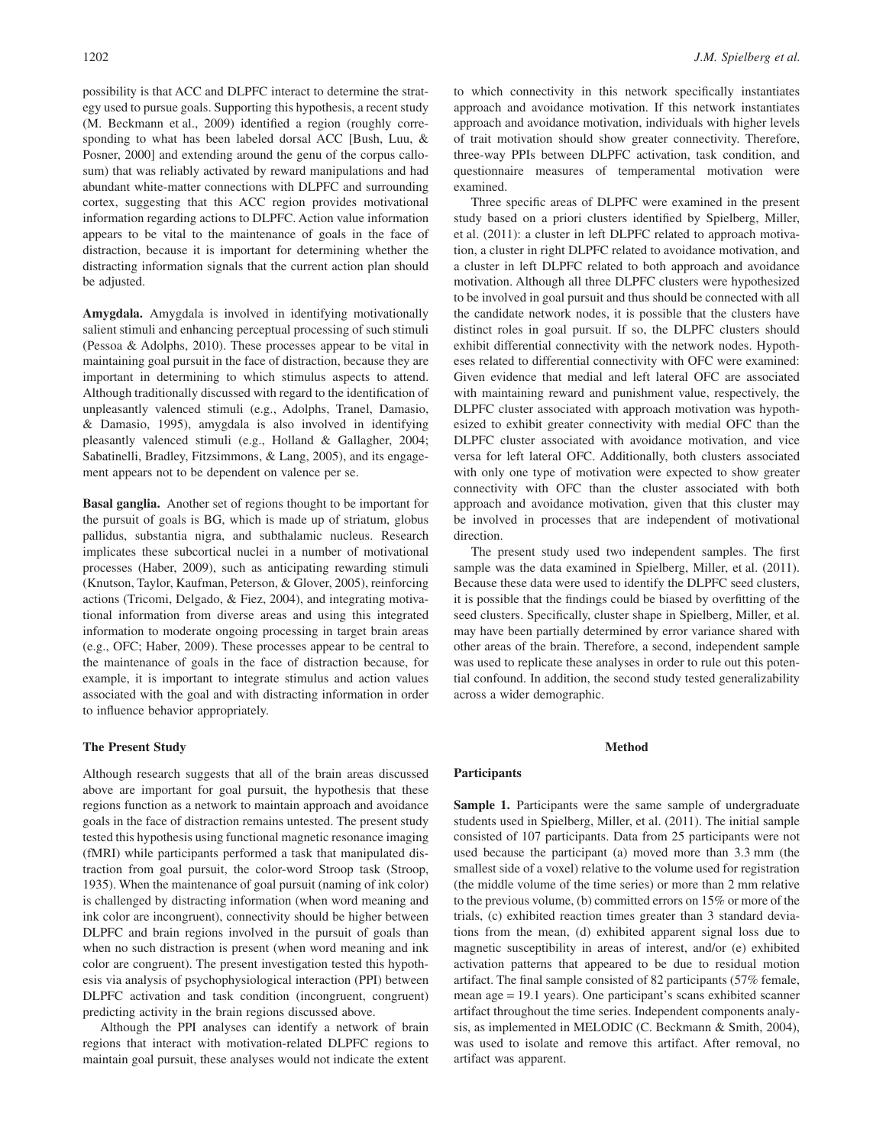possibility is that ACC and DLPFC interact to determine the strategy used to pursue goals. Supporting this hypothesis, a recent study (M. Beckmann et al., 2009) identified a region (roughly corresponding to what has been labeled dorsal ACC [Bush, Luu, & Posner, 2000] and extending around the genu of the corpus callosum) that was reliably activated by reward manipulations and had abundant white-matter connections with DLPFC and surrounding cortex, suggesting that this ACC region provides motivational information regarding actions to DLPFC. Action value information appears to be vital to the maintenance of goals in the face of distraction, because it is important for determining whether the distracting information signals that the current action plan should be adjusted.

**Amygdala.** Amygdala is involved in identifying motivationally salient stimuli and enhancing perceptual processing of such stimuli (Pessoa & Adolphs, 2010). These processes appear to be vital in maintaining goal pursuit in the face of distraction, because they are important in determining to which stimulus aspects to attend. Although traditionally discussed with regard to the identification of unpleasantly valenced stimuli (e.g., Adolphs, Tranel, Damasio, & Damasio, 1995), amygdala is also involved in identifying pleasantly valenced stimuli (e.g., Holland & Gallagher, 2004; Sabatinelli, Bradley, Fitzsimmons, & Lang, 2005), and its engagement appears not to be dependent on valence per se.

**Basal ganglia.** Another set of regions thought to be important for the pursuit of goals is BG, which is made up of striatum, globus pallidus, substantia nigra, and subthalamic nucleus. Research implicates these subcortical nuclei in a number of motivational processes (Haber, 2009), such as anticipating rewarding stimuli (Knutson, Taylor, Kaufman, Peterson, & Glover, 2005), reinforcing actions (Tricomi, Delgado, & Fiez, 2004), and integrating motivational information from diverse areas and using this integrated information to moderate ongoing processing in target brain areas (e.g., OFC; Haber, 2009). These processes appear to be central to the maintenance of goals in the face of distraction because, for example, it is important to integrate stimulus and action values associated with the goal and with distracting information in order to influence behavior appropriately.

## **The Present Study**

Although research suggests that all of the brain areas discussed above are important for goal pursuit, the hypothesis that these regions function as a network to maintain approach and avoidance goals in the face of distraction remains untested. The present study tested this hypothesis using functional magnetic resonance imaging (fMRI) while participants performed a task that manipulated distraction from goal pursuit, the color-word Stroop task (Stroop, 1935). When the maintenance of goal pursuit (naming of ink color) is challenged by distracting information (when word meaning and ink color are incongruent), connectivity should be higher between DLPFC and brain regions involved in the pursuit of goals than when no such distraction is present (when word meaning and ink color are congruent). The present investigation tested this hypothesis via analysis of psychophysiological interaction (PPI) between DLPFC activation and task condition (incongruent, congruent) predicting activity in the brain regions discussed above.

Although the PPI analyses can identify a network of brain regions that interact with motivation-related DLPFC regions to maintain goal pursuit, these analyses would not indicate the extent

to which connectivity in this network specifically instantiates approach and avoidance motivation. If this network instantiates approach and avoidance motivation, individuals with higher levels of trait motivation should show greater connectivity. Therefore, three-way PPIs between DLPFC activation, task condition, and questionnaire measures of temperamental motivation were examined.

Three specific areas of DLPFC were examined in the present study based on a priori clusters identified by Spielberg, Miller, et al. (2011): a cluster in left DLPFC related to approach motivation, a cluster in right DLPFC related to avoidance motivation, and a cluster in left DLPFC related to both approach and avoidance motivation. Although all three DLPFC clusters were hypothesized to be involved in goal pursuit and thus should be connected with all the candidate network nodes, it is possible that the clusters have distinct roles in goal pursuit. If so, the DLPFC clusters should exhibit differential connectivity with the network nodes. Hypotheses related to differential connectivity with OFC were examined: Given evidence that medial and left lateral OFC are associated with maintaining reward and punishment value, respectively, the DLPFC cluster associated with approach motivation was hypothesized to exhibit greater connectivity with medial OFC than the DLPFC cluster associated with avoidance motivation, and vice versa for left lateral OFC. Additionally, both clusters associated with only one type of motivation were expected to show greater connectivity with OFC than the cluster associated with both approach and avoidance motivation, given that this cluster may be involved in processes that are independent of motivational direction.

The present study used two independent samples. The first sample was the data examined in Spielberg, Miller, et al. (2011). Because these data were used to identify the DLPFC seed clusters, it is possible that the findings could be biased by overfitting of the seed clusters. Specifically, cluster shape in Spielberg, Miller, et al. may have been partially determined by error variance shared with other areas of the brain. Therefore, a second, independent sample was used to replicate these analyses in order to rule out this potential confound. In addition, the second study tested generalizability across a wider demographic.

#### **Method**

#### **Participants**

**Sample 1.** Participants were the same sample of undergraduate students used in Spielberg, Miller, et al. (2011). The initial sample consisted of 107 participants. Data from 25 participants were not used because the participant (a) moved more than 3.3 mm (the smallest side of a voxel) relative to the volume used for registration (the middle volume of the time series) or more than 2 mm relative to the previous volume, (b) committed errors on 15% or more of the trials, (c) exhibited reaction times greater than 3 standard deviations from the mean, (d) exhibited apparent signal loss due to magnetic susceptibility in areas of interest, and/or (e) exhibited activation patterns that appeared to be due to residual motion artifact. The final sample consisted of 82 participants (57% female, mean age = 19.1 years). One participant's scans exhibited scanner artifact throughout the time series. Independent components analysis, as implemented in MELODIC (C. Beckmann & Smith, 2004), was used to isolate and remove this artifact. After removal, no artifact was apparent.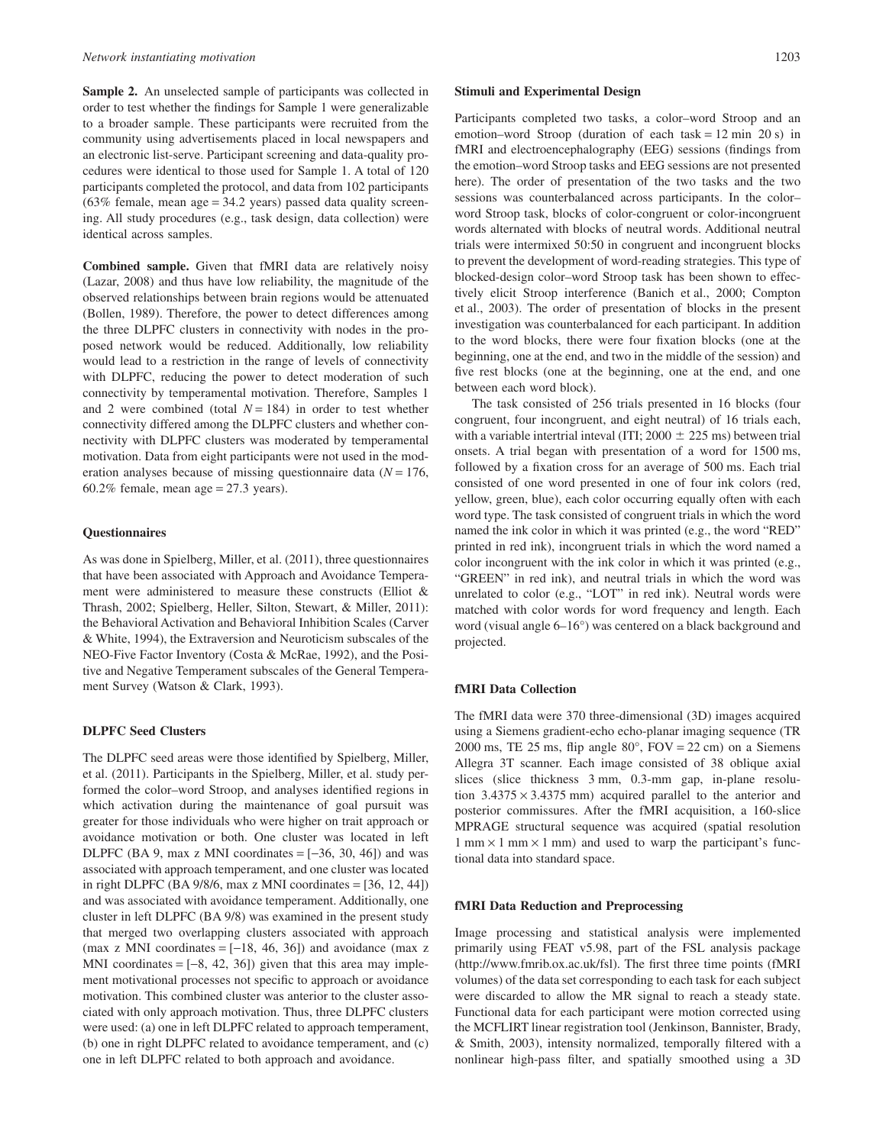**Sample 2.** An unselected sample of participants was collected in order to test whether the findings for Sample 1 were generalizable to a broader sample. These participants were recruited from the community using advertisements placed in local newspapers and an electronic list-serve. Participant screening and data-quality procedures were identical to those used for Sample 1. A total of 120 participants completed the protocol, and data from 102 participants  $(63\%$  female, mean age = 34.2 years) passed data quality screening. All study procedures (e.g., task design, data collection) were identical across samples.

**Combined sample.** Given that fMRI data are relatively noisy (Lazar, 2008) and thus have low reliability, the magnitude of the observed relationships between brain regions would be attenuated (Bollen, 1989). Therefore, the power to detect differences among the three DLPFC clusters in connectivity with nodes in the proposed network would be reduced. Additionally, low reliability would lead to a restriction in the range of levels of connectivity with DLPFC, reducing the power to detect moderation of such connectivity by temperamental motivation. Therefore, Samples 1 and 2 were combined (total  $N = 184$ ) in order to test whether connectivity differed among the DLPFC clusters and whether connectivity with DLPFC clusters was moderated by temperamental motivation. Data from eight participants were not used in the moderation analyses because of missing questionnaire data (*N* = 176,  $60.2\%$  female, mean age = 27.3 years).

## **Questionnaires**

As was done in Spielberg, Miller, et al. (2011), three questionnaires that have been associated with Approach and Avoidance Temperament were administered to measure these constructs (Elliot & Thrash, 2002; Spielberg, Heller, Silton, Stewart, & Miller, 2011): the Behavioral Activation and Behavioral Inhibition Scales (Carver & White, 1994), the Extraversion and Neuroticism subscales of the NEO-Five Factor Inventory (Costa & McRae, 1992), and the Positive and Negative Temperament subscales of the General Temperament Survey (Watson & Clark, 1993).

# **DLPFC Seed Clusters**

The DLPFC seed areas were those identified by Spielberg, Miller, et al. (2011). Participants in the Spielberg, Miller, et al. study performed the color–word Stroop, and analyses identified regions in which activation during the maintenance of goal pursuit was greater for those individuals who were higher on trait approach or avoidance motivation or both. One cluster was located in left DLPFC (BA 9, max z MNI coordinates  $=[-36, 30, 46]$ ) and was associated with approach temperament, and one cluster was located in right DLPFC (BA  $9/8/6$ , max z MNI coordinates = [36, 12, 44]) and was associated with avoidance temperament. Additionally, one cluster in left DLPFC (BA 9/8) was examined in the present study that merged two overlapping clusters associated with approach (max z MNI coordinates  $=[-18, 46, 36]$ ) and avoidance (max z MNI coordinates  $=[-8, 42, 36]$  given that this area may implement motivational processes not specific to approach or avoidance motivation. This combined cluster was anterior to the cluster associated with only approach motivation. Thus, three DLPFC clusters were used: (a) one in left DLPFC related to approach temperament, (b) one in right DLPFC related to avoidance temperament, and (c) one in left DLPFC related to both approach and avoidance.

#### **Stimuli and Experimental Design**

Participants completed two tasks, a color–word Stroop and an emotion–word Stroop (duration of each task =  $12$  min  $20$  s) in fMRI and electroencephalography (EEG) sessions (findings from the emotion–word Stroop tasks and EEG sessions are not presented here). The order of presentation of the two tasks and the two sessions was counterbalanced across participants. In the color– word Stroop task, blocks of color-congruent or color-incongruent words alternated with blocks of neutral words. Additional neutral trials were intermixed 50:50 in congruent and incongruent blocks to prevent the development of word-reading strategies. This type of blocked-design color–word Stroop task has been shown to effectively elicit Stroop interference (Banich et al., 2000; Compton et al., 2003). The order of presentation of blocks in the present investigation was counterbalanced for each participant. In addition to the word blocks, there were four fixation blocks (one at the beginning, one at the end, and two in the middle of the session) and five rest blocks (one at the beginning, one at the end, and one between each word block).

The task consisted of 256 trials presented in 16 blocks (four congruent, four incongruent, and eight neutral) of 16 trials each, with a variable intertrial inteval (ITI;  $2000 \pm 225$  ms) between trial onsets. A trial began with presentation of a word for 1500 ms, followed by a fixation cross for an average of 500 ms. Each trial consisted of one word presented in one of four ink colors (red, yellow, green, blue), each color occurring equally often with each word type. The task consisted of congruent trials in which the word named the ink color in which it was printed (e.g., the word "RED" printed in red ink), incongruent trials in which the word named a color incongruent with the ink color in which it was printed (e.g., "GREEN" in red ink), and neutral trials in which the word was unrelated to color (e.g., "LOT" in red ink). Neutral words were matched with color words for word frequency and length. Each word (visual angle 6–16°) was centered on a black background and projected.

## **fMRI Data Collection**

The fMRI data were 370 three-dimensional (3D) images acquired using a Siemens gradient-echo echo-planar imaging sequence (TR 2000 ms, TE 25 ms, flip angle  $80^\circ$ ,  $FOV = 22$  cm) on a Siemens Allegra 3T scanner. Each image consisted of 38 oblique axial slices (slice thickness 3 mm, 0.3-mm gap, in-plane resolution  $3.4375 \times 3.4375$  mm) acquired parallel to the anterior and posterior commissures. After the fMRI acquisition, a 160-slice MPRAGE structural sequence was acquired (spatial resolution  $1$  mm  $\times$  1 mm  $\times$  1 mm) and used to warp the participant's functional data into standard space.

## **fMRI Data Reduction and Preprocessing**

Image processing and statistical analysis were implemented primarily using FEAT v5.98, part of the FSL analysis package (http://www.fmrib.ox.ac.uk/fsl). The first three time points (fMRI volumes) of the data set corresponding to each task for each subject were discarded to allow the MR signal to reach a steady state. Functional data for each participant were motion corrected using the MCFLIRT linear registration tool (Jenkinson, Bannister, Brady, & Smith, 2003), intensity normalized, temporally filtered with a nonlinear high-pass filter, and spatially smoothed using a 3D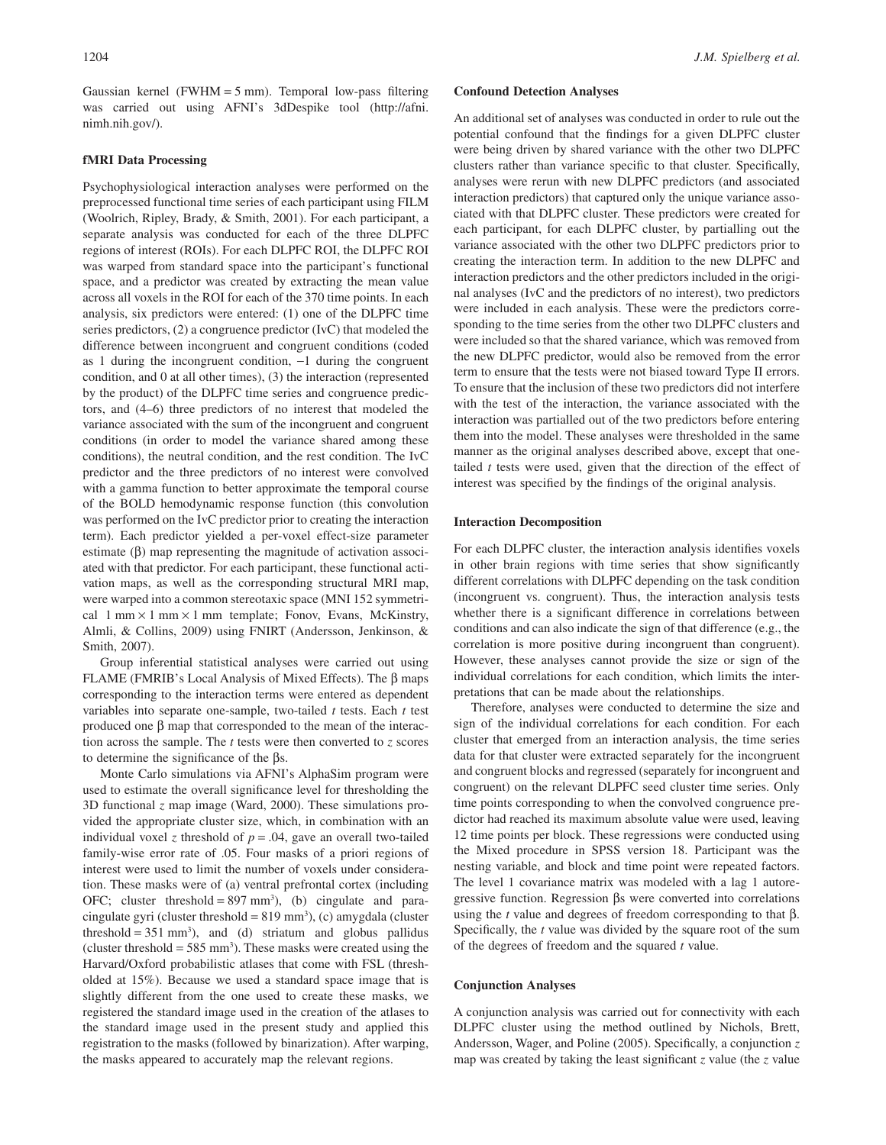Gaussian kernel (FWHM =  $5 \text{ mm}$ ). Temporal low-pass filtering was carried out using AFNI's 3dDespike tool (http://afni. nimh.nih.gov/).

# **fMRI Data Processing**

Psychophysiological interaction analyses were performed on the preprocessed functional time series of each participant using FILM (Woolrich, Ripley, Brady, & Smith, 2001). For each participant, a separate analysis was conducted for each of the three DLPFC regions of interest (ROIs). For each DLPFC ROI, the DLPFC ROI was warped from standard space into the participant's functional space, and a predictor was created by extracting the mean value across all voxels in the ROI for each of the 370 time points. In each analysis, six predictors were entered: (1) one of the DLPFC time series predictors, (2) a congruence predictor (IvC) that modeled the difference between incongruent and congruent conditions (coded as 1 during the incongruent condition, -1 during the congruent condition, and 0 at all other times), (3) the interaction (represented by the product) of the DLPFC time series and congruence predictors, and (4–6) three predictors of no interest that modeled the variance associated with the sum of the incongruent and congruent conditions (in order to model the variance shared among these conditions), the neutral condition, and the rest condition. The IvC predictor and the three predictors of no interest were convolved with a gamma function to better approximate the temporal course of the BOLD hemodynamic response function (this convolution was performed on the IvC predictor prior to creating the interaction term). Each predictor yielded a per-voxel effect-size parameter estimate  $(\beta)$  map representing the magnitude of activation associated with that predictor. For each participant, these functional activation maps, as well as the corresponding structural MRI map, were warped into a common stereotaxic space (MNI 152 symmetrical  $1 \text{ mm} \times 1 \text{ mm} \times 1 \text{ mm}$  template; Fonov, Evans, McKinstry, Almli, & Collins, 2009) using FNIRT (Andersson, Jenkinson, & Smith, 2007).

Group inferential statistical analyses were carried out using FLAME (FMRIB's Local Analysis of Mixed Effects). The  $\beta$  maps corresponding to the interaction terms were entered as dependent variables into separate one-sample, two-tailed *t* tests. Each *t* test produced one  $\beta$  map that corresponded to the mean of the interaction across the sample. The *t* tests were then converted to *z* scores to determine the significance of the  $\beta$ s.

Monte Carlo simulations via AFNI's AlphaSim program were used to estimate the overall significance level for thresholding the 3D functional *z* map image (Ward, 2000). These simulations provided the appropriate cluster size, which, in combination with an individual voxel *z* threshold of  $p = .04$ , gave an overall two-tailed family-wise error rate of .05. Four masks of a priori regions of interest were used to limit the number of voxels under consideration. These masks were of (a) ventral prefrontal cortex (including OFC; cluster threshold =  $897 \text{ mm}^3$ ), (b) cingulate and paracingulate gyri (cluster threshold =  $819 \text{ mm}^3$ ), (c) amygdala (cluster threshold =  $351 \text{ mm}^3$ ), and (d) striatum and globus pallidus (cluster threshold  $= 585$  mm<sup>3</sup>). These masks were created using the Harvard/Oxford probabilistic atlases that come with FSL (thresholded at 15%). Because we used a standard space image that is slightly different from the one used to create these masks, we registered the standard image used in the creation of the atlases to the standard image used in the present study and applied this registration to the masks (followed by binarization). After warping, the masks appeared to accurately map the relevant regions.

#### **Confound Detection Analyses**

An additional set of analyses was conducted in order to rule out the potential confound that the findings for a given DLPFC cluster were being driven by shared variance with the other two DLPFC clusters rather than variance specific to that cluster. Specifically, analyses were rerun with new DLPFC predictors (and associated interaction predictors) that captured only the unique variance associated with that DLPFC cluster. These predictors were created for each participant, for each DLPFC cluster, by partialling out the variance associated with the other two DLPFC predictors prior to creating the interaction term. In addition to the new DLPFC and interaction predictors and the other predictors included in the original analyses (IvC and the predictors of no interest), two predictors were included in each analysis. These were the predictors corresponding to the time series from the other two DLPFC clusters and were included so that the shared variance, which was removed from the new DLPFC predictor, would also be removed from the error term to ensure that the tests were not biased toward Type II errors. To ensure that the inclusion of these two predictors did not interfere with the test of the interaction, the variance associated with the interaction was partialled out of the two predictors before entering them into the model. These analyses were thresholded in the same manner as the original analyses described above, except that onetailed *t* tests were used, given that the direction of the effect of interest was specified by the findings of the original analysis.

## **Interaction Decomposition**

For each DLPFC cluster, the interaction analysis identifies voxels in other brain regions with time series that show significantly different correlations with DLPFC depending on the task condition (incongruent vs. congruent). Thus, the interaction analysis tests whether there is a significant difference in correlations between conditions and can also indicate the sign of that difference (e.g., the correlation is more positive during incongruent than congruent). However, these analyses cannot provide the size or sign of the individual correlations for each condition, which limits the interpretations that can be made about the relationships.

Therefore, analyses were conducted to determine the size and sign of the individual correlations for each condition. For each cluster that emerged from an interaction analysis, the time series data for that cluster were extracted separately for the incongruent and congruent blocks and regressed (separately for incongruent and congruent) on the relevant DLPFC seed cluster time series. Only time points corresponding to when the convolved congruence predictor had reached its maximum absolute value were used, leaving 12 time points per block. These regressions were conducted using the Mixed procedure in SPSS version 18. Participant was the nesting variable, and block and time point were repeated factors. The level 1 covariance matrix was modeled with a lag 1 autoregressive function. Regression  $\beta s$  were converted into correlations using the  $t$  value and degrees of freedom corresponding to that  $\beta$ . Specifically, the *t* value was divided by the square root of the sum of the degrees of freedom and the squared *t* value.

## **Conjunction Analyses**

A conjunction analysis was carried out for connectivity with each DLPFC cluster using the method outlined by Nichols, Brett, Andersson, Wager, and Poline (2005). Specifically, a conjunction *z* map was created by taking the least significant *z* value (the *z* value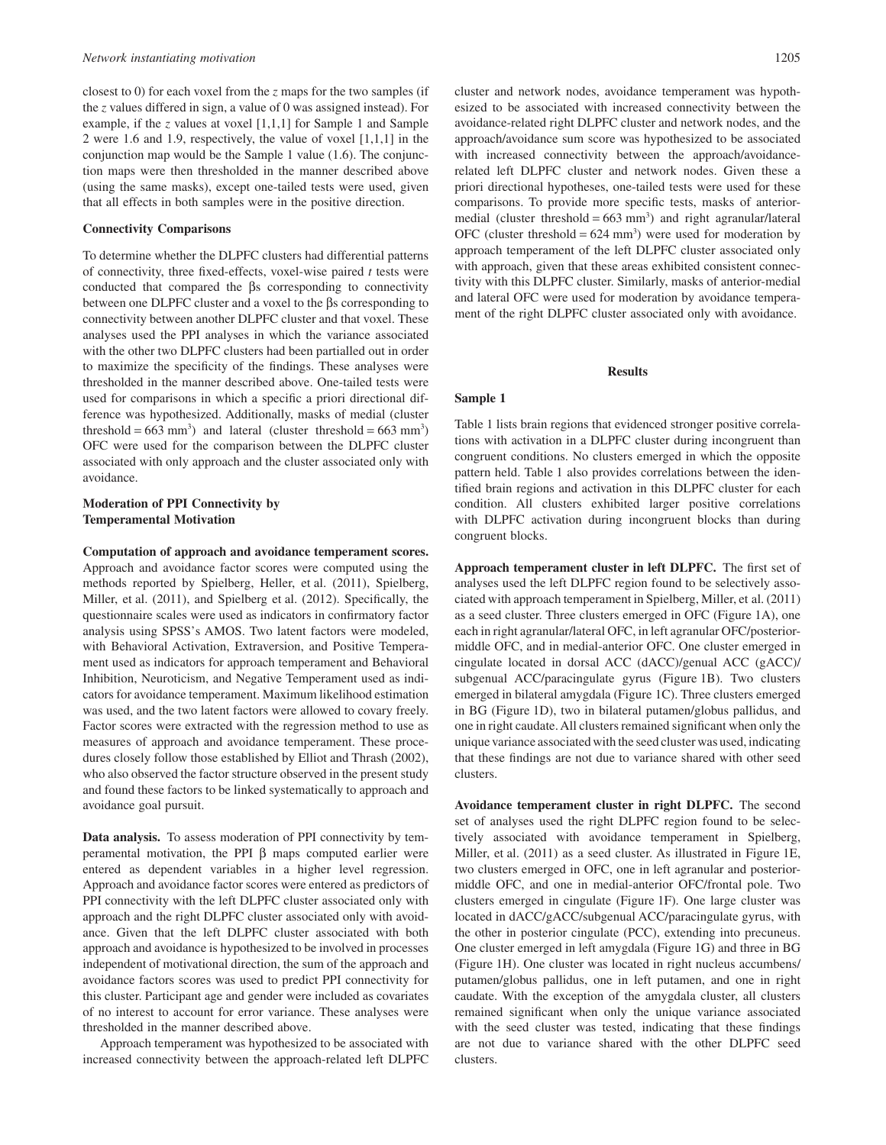closest to 0) for each voxel from the *z* maps for the two samples (if the *z* values differed in sign, a value of 0 was assigned instead). For example, if the *z* values at voxel [1,1,1] for Sample 1 and Sample 2 were 1.6 and 1.9, respectively, the value of voxel [1,1,1] in the conjunction map would be the Sample 1 value (1.6). The conjunction maps were then thresholded in the manner described above (using the same masks), except one-tailed tests were used, given that all effects in both samples were in the positive direction.

# **Connectivity Comparisons**

To determine whether the DLPFC clusters had differential patterns of connectivity, three fixed-effects, voxel-wise paired *t* tests were conducted that compared the  $\beta$ s corresponding to connectivity between one DLPFC cluster and a voxel to the  $\beta s$  corresponding to connectivity between another DLPFC cluster and that voxel. These analyses used the PPI analyses in which the variance associated with the other two DLPFC clusters had been partialled out in order to maximize the specificity of the findings. These analyses were thresholded in the manner described above. One-tailed tests were used for comparisons in which a specific a priori directional difference was hypothesized. Additionally, masks of medial (cluster threshold =  $663$  mm<sup>3</sup>) and lateral (cluster threshold =  $663$  mm<sup>3</sup>) OFC were used for the comparison between the DLPFC cluster associated with only approach and the cluster associated only with avoidance.

# **Moderation of PPI Connectivity by Temperamental Motivation**

#### **Computation of approach and avoidance temperament scores.**

Approach and avoidance factor scores were computed using the methods reported by Spielberg, Heller, et al. (2011), Spielberg, Miller, et al. (2011), and Spielberg et al. (2012). Specifically, the questionnaire scales were used as indicators in confirmatory factor analysis using SPSS's AMOS. Two latent factors were modeled, with Behavioral Activation, Extraversion, and Positive Temperament used as indicators for approach temperament and Behavioral Inhibition, Neuroticism, and Negative Temperament used as indicators for avoidance temperament. Maximum likelihood estimation was used, and the two latent factors were allowed to covary freely. Factor scores were extracted with the regression method to use as measures of approach and avoidance temperament. These procedures closely follow those established by Elliot and Thrash (2002), who also observed the factor structure observed in the present study and found these factors to be linked systematically to approach and avoidance goal pursuit.

**Data analysis.** To assess moderation of PPI connectivity by temperamental motivation, the PPI  $\beta$  maps computed earlier were entered as dependent variables in a higher level regression. Approach and avoidance factor scores were entered as predictors of PPI connectivity with the left DLPFC cluster associated only with approach and the right DLPFC cluster associated only with avoidance. Given that the left DLPFC cluster associated with both approach and avoidance is hypothesized to be involved in processes independent of motivational direction, the sum of the approach and avoidance factors scores was used to predict PPI connectivity for this cluster. Participant age and gender were included as covariates of no interest to account for error variance. These analyses were thresholded in the manner described above.

Approach temperament was hypothesized to be associated with increased connectivity between the approach-related left DLPFC cluster and network nodes, avoidance temperament was hypothesized to be associated with increased connectivity between the avoidance-related right DLPFC cluster and network nodes, and the approach/avoidance sum score was hypothesized to be associated with increased connectivity between the approach/avoidancerelated left DLPFC cluster and network nodes. Given these a priori directional hypotheses, one-tailed tests were used for these comparisons. To provide more specific tests, masks of anteriormedial (cluster threshold =  $663$  mm<sup>3</sup>) and right agranular/lateral OFC (cluster threshold  $= 624$  mm<sup>3</sup>) were used for moderation by approach temperament of the left DLPFC cluster associated only with approach, given that these areas exhibited consistent connectivity with this DLPFC cluster. Similarly, masks of anterior-medial and lateral OFC were used for moderation by avoidance temperament of the right DLPFC cluster associated only with avoidance.

# **Results**

#### **Sample 1**

Table 1 lists brain regions that evidenced stronger positive correlations with activation in a DLPFC cluster during incongruent than congruent conditions. No clusters emerged in which the opposite pattern held. Table 1 also provides correlations between the identified brain regions and activation in this DLPFC cluster for each condition. All clusters exhibited larger positive correlations with DLPFC activation during incongruent blocks than during congruent blocks.

**Approach temperament cluster in left DLPFC.** The first set of analyses used the left DLPFC region found to be selectively associated with approach temperament in Spielberg, Miller, et al. (2011) as a seed cluster. Three clusters emerged in OFC (Figure 1A), one each in right agranular/lateral OFC, in left agranular OFC/posteriormiddle OFC, and in medial-anterior OFC. One cluster emerged in cingulate located in dorsal ACC (dACC)/genual ACC (gACC)/ subgenual ACC/paracingulate gyrus (Figure 1B). Two clusters emerged in bilateral amygdala (Figure 1C). Three clusters emerged in BG (Figure 1D), two in bilateral putamen/globus pallidus, and one in right caudate. All clusters remained significant when only the unique variance associated with the seed cluster was used, indicating that these findings are not due to variance shared with other seed clusters.

**Avoidance temperament cluster in right DLPFC.** The second set of analyses used the right DLPFC region found to be selectively associated with avoidance temperament in Spielberg, Miller, et al. (2011) as a seed cluster. As illustrated in Figure 1E, two clusters emerged in OFC, one in left agranular and posteriormiddle OFC, and one in medial-anterior OFC/frontal pole. Two clusters emerged in cingulate (Figure 1F). One large cluster was located in dACC/gACC/subgenual ACC/paracingulate gyrus, with the other in posterior cingulate (PCC), extending into precuneus. One cluster emerged in left amygdala (Figure 1G) and three in BG (Figure 1H). One cluster was located in right nucleus accumbens/ putamen/globus pallidus, one in left putamen, and one in right caudate. With the exception of the amygdala cluster, all clusters remained significant when only the unique variance associated with the seed cluster was tested, indicating that these findings are not due to variance shared with the other DLPFC seed clusters.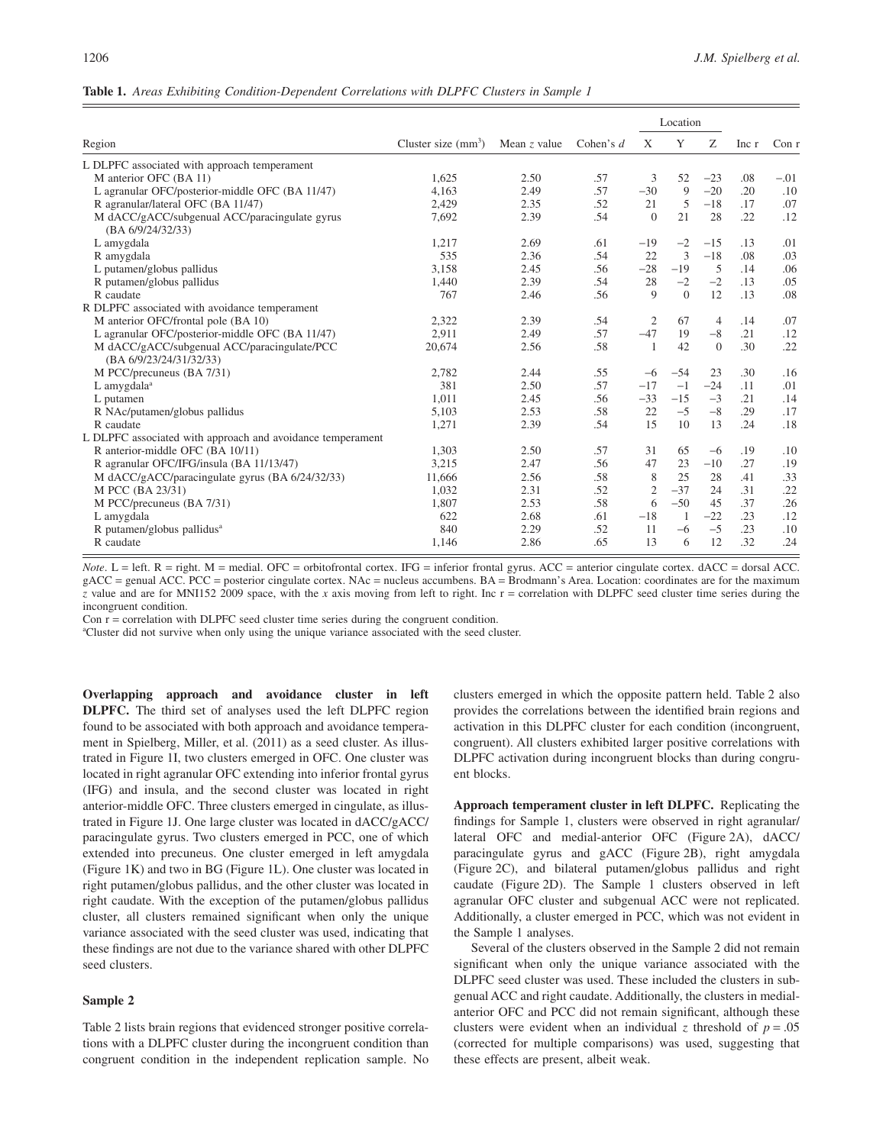|                                                                        |                       |                |             | Location       |                |                |       |                  |
|------------------------------------------------------------------------|-----------------------|----------------|-------------|----------------|----------------|----------------|-------|------------------|
| Region                                                                 | Cluster size $(mm^3)$ | Mean $z$ value | Cohen's $d$ | X              | Y              | Z              | Inc r | Con <sub>f</sub> |
| L DLPFC associated with approach temperament                           |                       |                |             |                |                |                |       |                  |
| M anterior OFC (BA 11)                                                 | 1,625                 | 2.50           | .57         | 3              | 52             | $-23$          | .08   | $-.01$           |
| L agranular OFC/posterior-middle OFC (BA 11/47)                        | 4,163                 | 2.49           | .57         | $-30$          | 9              | $-20$          | .20   | .10              |
| R agranular/lateral OFC (BA 11/47)                                     | 2,429                 | 2.35           | .52         | 21             | 5              | $-18$          | .17   | .07              |
| M dACC/gACC/subgenual ACC/paracingulate gyrus<br>(BA 6/9/24/32/33)     | 7,692                 | 2.39           | .54         | $\theta$       | 21             | 28             | .22   | .12              |
| L amygdala                                                             | 1,217                 | 2.69           | .61         | $-19$          | $-2$           | $-15$          | .13   | .01              |
| R amygdala                                                             | 535                   | 2.36           | .54         | 22             | 3              | $-18$          | .08   | .03              |
| L putamen/globus pallidus                                              | 3,158                 | 2.45           | .56         | $-28$          | $-19$          | 5              | .14   | .06              |
| R putamen/globus pallidus                                              | 1,440                 | 2.39           | .54         | 28             | $-2$           | $-2$           | .13   | .05              |
| R caudate                                                              | 767                   | 2.46           | .56         | $\mathbf Q$    | $\Omega$       | 12             | .13   | .08              |
| R DLPFC associated with avoidance temperament                          |                       |                |             |                |                |                |       |                  |
| M anterior OFC/frontal pole (BA 10)                                    | 2,322                 | 2.39           | .54         | 2              | 67             | $\overline{4}$ | .14   | .07              |
| L agranular OFC/posterior-middle OFC (BA 11/47)                        | 2,911                 | 2.49           | .57         | $-47$          | 19             | $-8$           | .21   | .12              |
| M dACC/gACC/subgenual ACC/paracingulate/PCC<br>(BA 6/9/23/24/31/32/33) | 20,674                | 2.56           | .58         | 1              | 42             | $\Omega$       | .30   | .22              |
| M PCC/precuneus (BA 7/31)                                              | 2,782                 | 2.44           | .55         | $-6$           | $-54$          | 23             | .30   | .16              |
| $L$ amygdala <sup>a</sup>                                              | 381                   | 2.50           | .57         | $-17$          | $-1$           | $-24$          | .11   | .01              |
| L putamen                                                              | 1,011                 | 2.45           | .56         | $-33$          | $-15$          | $-3$           | .21   | .14              |
| R NAc/putamen/globus pallidus                                          | 5,103                 | 2.53           | .58         | 22             | $-5$           | $-8$           | .29   | .17              |
| R caudate                                                              | 1,271                 | 2.39           | .54         | 15             | 10             | 13             | .24   | .18              |
| L DLPFC associated with approach and avoidance temperament             |                       |                |             |                |                |                |       |                  |
| R anterior-middle OFC (BA 10/11)                                       | 1,303                 | 2.50           | .57         | 31             | 65             | $-6$           | .19   | .10              |
| R agranular OFC/IFG/insula (BA 11/13/47)                               | 3,215                 | 2.47           | .56         | 47             | 23             | $-10$          | .27   | .19              |
| M dACC/gACC/paracingulate gyrus (BA 6/24/32/33)                        | 11,666                | 2.56           | .58         | 8              | 25             | 28             | .41   | .33              |
| M PCC (BA 23/31)                                                       | 1,032                 | 2.31           | .52         | $\overline{c}$ | $-37$          | 24             | .31   | .22              |
| M PCC/precuneus (BA 7/31)                                              | 1,807                 | 2.53           | .58         | 6              | $-50$          | 45             | .37   | .26              |
| L amygdala                                                             | 622                   | 2.68           | .61         | $-18$          | $\overline{1}$ | $-22$          | .23   | .12              |
| R putamen/globus pallidus <sup>a</sup>                                 | 840                   | 2.29           | .52         | 11             | $-6$           | $-5$           | .23   | .10              |
| R caudate                                                              | 1,146                 | 2.86           | .65         | 13             | 6              | 12             | .32   | .24              |

**Table 1.** *Areas Exhibiting Condition-Dependent Correlations with DLPFC Clusters in Sample 1*

*Note*. L = left. R = right. M = medial. OFC = orbitofrontal cortex. IFG = inferior frontal gyrus. ACC = anterior cingulate cortex. dACC = dorsal ACC. gACC = genual ACC. PCC = posterior cingulate cortex. NAc = nucleus accumbens. BA = Brodmann's Area. Location: coordinates are for the maximum *z* value and are for MNI152 2009 space, with the *x* axis moving from left to right. Inc r = correlation with DLPFC seed cluster time series during the incongruent condition.

Con  $r =$  correlation with DLPFC seed cluster time series during the congruent condition.

<sup>a</sup>Cluster did not survive when only using the unique variance associated with the seed cluster.

**Overlapping approach and avoidance cluster in left DLPFC.** The third set of analyses used the left DLPFC region found to be associated with both approach and avoidance temperament in Spielberg, Miller, et al. (2011) as a seed cluster. As illustrated in Figure 1I, two clusters emerged in OFC. One cluster was located in right agranular OFC extending into inferior frontal gyrus (IFG) and insula, and the second cluster was located in right anterior-middle OFC. Three clusters emerged in cingulate, as illustrated in Figure 1J. One large cluster was located in dACC/gACC/ paracingulate gyrus. Two clusters emerged in PCC, one of which extended into precuneus. One cluster emerged in left amygdala (Figure 1K) and two in BG (Figure 1L). One cluster was located in right putamen/globus pallidus, and the other cluster was located in right caudate. With the exception of the putamen/globus pallidus cluster, all clusters remained significant when only the unique variance associated with the seed cluster was used, indicating that these findings are not due to the variance shared with other DLPFC seed clusters.

# **Sample 2**

Table 2 lists brain regions that evidenced stronger positive correlations with a DLPFC cluster during the incongruent condition than congruent condition in the independent replication sample. No clusters emerged in which the opposite pattern held. Table 2 also provides the correlations between the identified brain regions and activation in this DLPFC cluster for each condition (incongruent, congruent). All clusters exhibited larger positive correlations with DLPFC activation during incongruent blocks than during congruent blocks.

**Approach temperament cluster in left DLPFC.** Replicating the findings for Sample 1, clusters were observed in right agranular/ lateral OFC and medial-anterior OFC (Figure 2A), dACC/ paracingulate gyrus and gACC (Figure 2B), right amygdala (Figure 2C), and bilateral putamen/globus pallidus and right caudate (Figure 2D). The Sample 1 clusters observed in left agranular OFC cluster and subgenual ACC were not replicated. Additionally, a cluster emerged in PCC, which was not evident in the Sample 1 analyses.

Several of the clusters observed in the Sample 2 did not remain significant when only the unique variance associated with the DLPFC seed cluster was used. These included the clusters in subgenual ACC and right caudate. Additionally, the clusters in medialanterior OFC and PCC did not remain significant, although these clusters were evident when an individual *z* threshold of  $p = .05$ (corrected for multiple comparisons) was used, suggesting that these effects are present, albeit weak.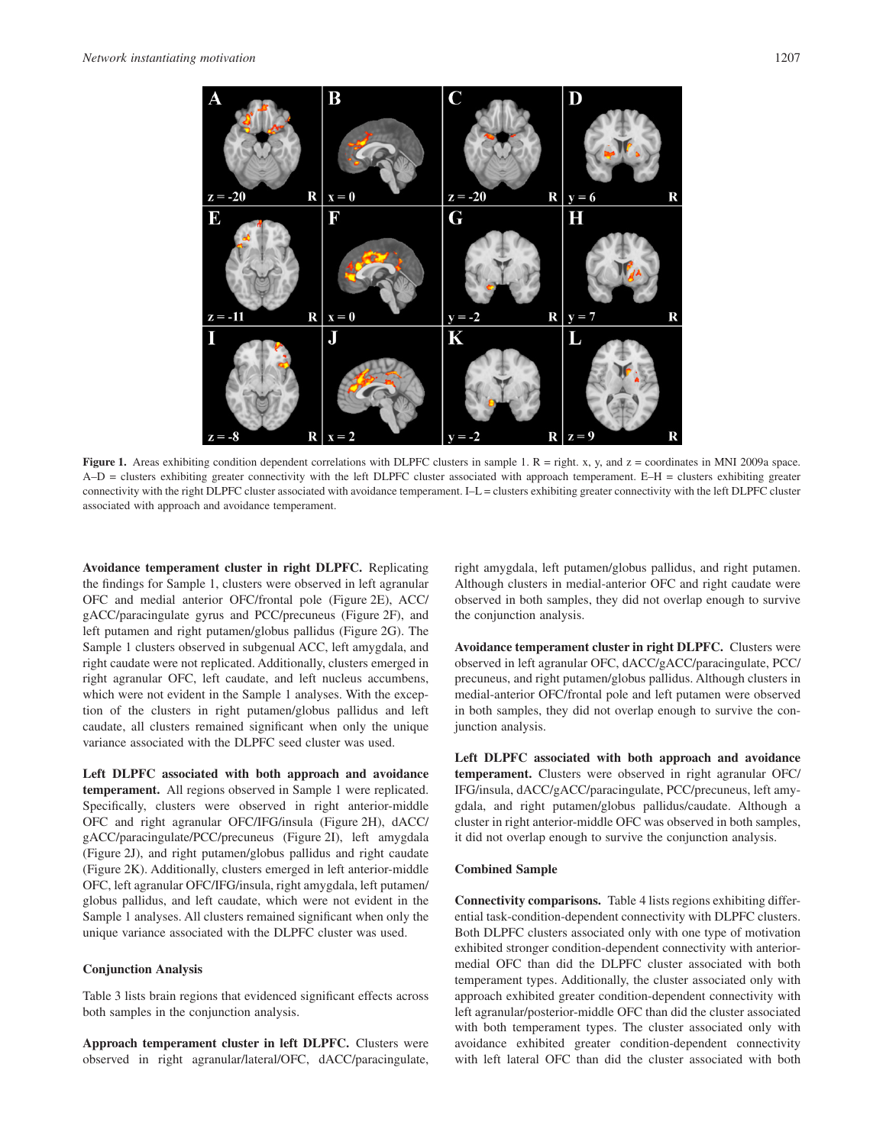

**Figure 1.** Areas exhibiting condition dependent correlations with DLPFC clusters in sample 1. R = right. x, y, and z = coordinates in MNI 2009a space. A–D = clusters exhibiting greater connectivity with the left DLPFC cluster associated with approach temperament. E–H = clusters exhibiting greater connectivity with the right DLPFC cluster associated with avoidance temperament. I–L = clusters exhibiting greater connectivity with the left DLPFC cluster associated with approach and avoidance temperament.

**Avoidance temperament cluster in right DLPFC.** Replicating the findings for Sample 1, clusters were observed in left agranular OFC and medial anterior OFC/frontal pole (Figure 2E), ACC/ gACC/paracingulate gyrus and PCC/precuneus (Figure 2F), and left putamen and right putamen/globus pallidus (Figure 2G). The Sample 1 clusters observed in subgenual ACC, left amygdala, and right caudate were not replicated. Additionally, clusters emerged in right agranular OFC, left caudate, and left nucleus accumbens, which were not evident in the Sample 1 analyses. With the exception of the clusters in right putamen/globus pallidus and left caudate, all clusters remained significant when only the unique variance associated with the DLPFC seed cluster was used.

**Left DLPFC associated with both approach and avoidance temperament.** All regions observed in Sample 1 were replicated. Specifically, clusters were observed in right anterior-middle OFC and right agranular OFC/IFG/insula (Figure 2H), dACC/ gACC/paracingulate/PCC/precuneus (Figure 2I), left amygdala (Figure 2J), and right putamen/globus pallidus and right caudate (Figure 2K). Additionally, clusters emerged in left anterior-middle OFC, left agranular OFC/IFG/insula, right amygdala, left putamen/ globus pallidus, and left caudate, which were not evident in the Sample 1 analyses. All clusters remained significant when only the unique variance associated with the DLPFC cluster was used.

# **Conjunction Analysis**

Table 3 lists brain regions that evidenced significant effects across both samples in the conjunction analysis.

**Approach temperament cluster in left DLPFC.** Clusters were observed in right agranular/lateral/OFC, dACC/paracingulate, right amygdala, left putamen/globus pallidus, and right putamen. Although clusters in medial-anterior OFC and right caudate were observed in both samples, they did not overlap enough to survive the conjunction analysis.

**Avoidance temperament cluster in right DLPFC.** Clusters were observed in left agranular OFC, dACC/gACC/paracingulate, PCC/ precuneus, and right putamen/globus pallidus. Although clusters in medial-anterior OFC/frontal pole and left putamen were observed in both samples, they did not overlap enough to survive the conjunction analysis.

**Left DLPFC associated with both approach and avoidance temperament.** Clusters were observed in right agranular OFC/ IFG/insula, dACC/gACC/paracingulate, PCC/precuneus, left amygdala, and right putamen/globus pallidus/caudate. Although a cluster in right anterior-middle OFC was observed in both samples, it did not overlap enough to survive the conjunction analysis.

## **Combined Sample**

**Connectivity comparisons.** Table 4 lists regions exhibiting differential task-condition-dependent connectivity with DLPFC clusters. Both DLPFC clusters associated only with one type of motivation exhibited stronger condition-dependent connectivity with anteriormedial OFC than did the DLPFC cluster associated with both temperament types. Additionally, the cluster associated only with approach exhibited greater condition-dependent connectivity with left agranular/posterior-middle OFC than did the cluster associated with both temperament types. The cluster associated only with avoidance exhibited greater condition-dependent connectivity with left lateral OFC than did the cluster associated with both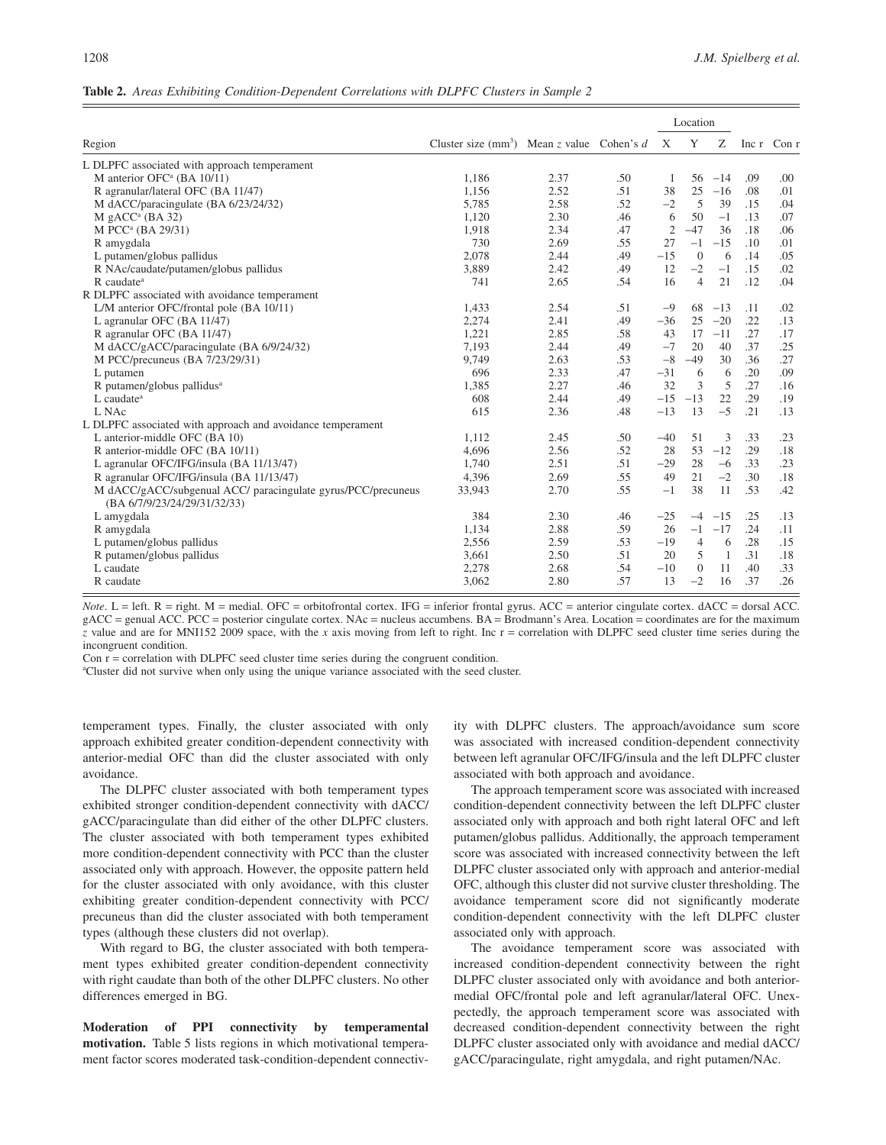|                                                              |                                                        |      |     | Location       |                |       |     |                 |
|--------------------------------------------------------------|--------------------------------------------------------|------|-----|----------------|----------------|-------|-----|-----------------|
| Region                                                       | Cluster size (mm <sup>3</sup> ) Mean z value Cohen's d |      |     | X              | Y              | Z     |     | Inc $r$ Con $r$ |
| L DLPFC associated with approach temperament                 |                                                        |      |     |                |                |       |     |                 |
| M anterior OFC <sup>a</sup> (BA 10/11)                       | 1,186                                                  | 2.37 | .50 | 1              | 56             | $-14$ | .09 | .00             |
| R agranular/lateral OFC (BA 11/47)                           | 1,156                                                  | 2.52 | .51 | 38             | 25             | $-16$ | .08 | .01             |
| M dACC/paracingulate (BA 6/23/24/32)                         | 5,785                                                  | 2.58 | .52 | $-2$           | 5              | 39    | .15 | .04             |
| $M$ gACC <sup>a</sup> (BA 32)                                | 1,120                                                  | 2.30 | .46 | 6              | 50             | $-1$  | .13 | .07             |
| M PCC <sup>a</sup> (BA 29/31)                                | 1,918                                                  | 2.34 | .47 | $\overline{2}$ | $-47$          | 36    | .18 | .06             |
| R amygdala                                                   | 730                                                    | 2.69 | .55 | 27             | $-1$           | $-15$ | .10 | .01             |
| L putamen/globus pallidus                                    | 2,078                                                  | 2.44 | .49 | $-15$          | $\theta$       | 6     | .14 | .05             |
| R NAc/caudate/putamen/globus pallidus                        | 3,889                                                  | 2.42 | .49 | 12             | $-2$           | $-1$  | .15 | .02             |
| R caudate <sup>a</sup>                                       | 741                                                    | 2.65 | .54 | 16             | $\overline{4}$ | 21    | .12 | .04             |
| R DLPFC associated with avoidance temperament                |                                                        |      |     |                |                |       |     |                 |
| L/M anterior OFC/frontal pole (BA 10/11)                     | 1,433                                                  | 2.54 | .51 | $-9$           | 68             | $-13$ | .11 | .02             |
| L agranular OFC (BA 11/47)                                   | 2,274                                                  | 2.41 | .49 | $-36$          | 25             | $-20$ | .22 | .13             |
| R agranular OFC (BA 11/47)                                   | 1,221                                                  | 2.85 | .58 | 43             | 17             | $-11$ | .27 | .17             |
| M dACC/gACC/paracingulate (BA 6/9/24/32)                     | 7,193                                                  | 2.44 | .49 | $-7$           | 20             | 40    | .37 | .25             |
| M PCC/precuneus (BA 7/23/29/31)                              | 9,749                                                  | 2.63 | .53 | $-8$           | $-49$          | 30    | .36 | .27             |
| L putamen                                                    | 696                                                    | 2.33 | .47 | $-31$          | 6              | 6     | .20 | .09             |
| R putamen/globus pallidus <sup>a</sup>                       | 1,385                                                  | 2.27 | .46 | 32             | 3              | 5     | .27 | .16             |
| $L$ caudate <sup>a</sup>                                     | 608                                                    | 2.44 | .49 | $-15$          | $-13$          | 22    | .29 | .19             |
| L NAc                                                        | 615                                                    | 2.36 | .48 | $-13$          | 13             | $-5$  | .21 | .13             |
| L DLPFC associated with approach and avoidance temperament   |                                                        |      |     |                |                |       |     |                 |
| L anterior-middle OFC (BA 10)                                | 1,112                                                  | 2.45 | .50 | $-40$          | 51             | 3     | .33 | .23             |
| R anterior-middle OFC (BA 10/11)                             | 4,696                                                  | 2.56 | .52 | 28             | 53             | $-12$ | .29 | .18             |
| L agranular OFC/IFG/insula (BA 11/13/47)                     | 1,740                                                  | 2.51 | .51 | $-29$          | 28             | $-6$  | .33 | .23             |
| R agranular OFC/IFG/insula (BA 11/13/47)                     | 4,396                                                  | 2.69 | .55 | 49             | 21             | $-2$  | .30 | .18             |
| M dACC/gACC/subgenual ACC/ paracingulate gyrus/PCC/precuneus | 33,943                                                 | 2.70 | .55 | $-1$           | 38             | 11    | .53 | .42             |
| (BA 6/7/9/23/24/29/31/32/33)                                 |                                                        |      |     |                |                |       |     |                 |
| L amygdala                                                   | 384                                                    | 2.30 | .46 | $-25$          | $-4$           | $-15$ | .25 | .13             |
| R amygdala                                                   | 1,134                                                  | 2.88 | .59 | 26             | $-1$           | $-17$ | .24 | .11             |
| L putamen/globus pallidus                                    | 2,556                                                  | 2.59 | .53 | $-19$          | $\overline{4}$ | 6     | .28 | .15             |
| R putamen/globus pallidus                                    | 3,661                                                  | 2.50 | .51 | 20             | 5              | -1    | .31 | .18             |
| L caudate                                                    | 2,278                                                  | 2.68 | .54 | $-10$          | $\theta$       | 11    | .40 | .33             |
| R caudate                                                    | 3,062                                                  | 2.80 | .57 | 13             | $-2$           | 16    | .37 | .26             |

#### **Table 2.** *Areas Exhibiting Condition-Dependent Correlations with DLPFC Clusters in Sample 2*

*Note*. L = left. R = right. M = medial. OFC = orbitofrontal cortex. IFG = inferior frontal gyrus. ACC = anterior cingulate cortex. dACC = dorsal ACC. gACC = genual ACC. PCC = posterior cingulate cortex. NAc = nucleus accumbens. BA = Brodmann's Area. Location = coordinates are for the maximum *z* value and are for MNI152 2009 space, with the *x* axis moving from left to right. Inc r = correlation with DLPFC seed cluster time series during the incongruent condition.

Con  $r =$  correlation with DLPFC seed cluster time series during the congruent condition.

<sup>a</sup>Cluster did not survive when only using the unique variance associated with the seed cluster.

temperament types. Finally, the cluster associated with only approach exhibited greater condition-dependent connectivity with anterior-medial OFC than did the cluster associated with only avoidance.

The DLPFC cluster associated with both temperament types exhibited stronger condition-dependent connectivity with dACC/ gACC/paracingulate than did either of the other DLPFC clusters. The cluster associated with both temperament types exhibited more condition-dependent connectivity with PCC than the cluster associated only with approach. However, the opposite pattern held for the cluster associated with only avoidance, with this cluster exhibiting greater condition-dependent connectivity with PCC/ precuneus than did the cluster associated with both temperament types (although these clusters did not overlap).

With regard to BG, the cluster associated with both temperament types exhibited greater condition-dependent connectivity with right caudate than both of the other DLPFC clusters. No other differences emerged in BG.

**Moderation of PPI connectivity by temperamental motivation.** Table 5 lists regions in which motivational temperament factor scores moderated task-condition-dependent connectivity with DLPFC clusters. The approach/avoidance sum score was associated with increased condition-dependent connectivity between left agranular OFC/IFG/insula and the left DLPFC cluster associated with both approach and avoidance.

The approach temperament score was associated with increased condition-dependent connectivity between the left DLPFC cluster associated only with approach and both right lateral OFC and left putamen/globus pallidus. Additionally, the approach temperament score was associated with increased connectivity between the left DLPFC cluster associated only with approach and anterior-medial OFC, although this cluster did not survive cluster thresholding. The avoidance temperament score did not significantly moderate condition-dependent connectivity with the left DLPFC cluster associated only with approach.

The avoidance temperament score was associated with increased condition-dependent connectivity between the right DLPFC cluster associated only with avoidance and both anteriormedial OFC/frontal pole and left agranular/lateral OFC. Unexpectedly, the approach temperament score was associated with decreased condition-dependent connectivity between the right DLPFC cluster associated only with avoidance and medial dACC/ gACC/paracingulate, right amygdala, and right putamen/NAc.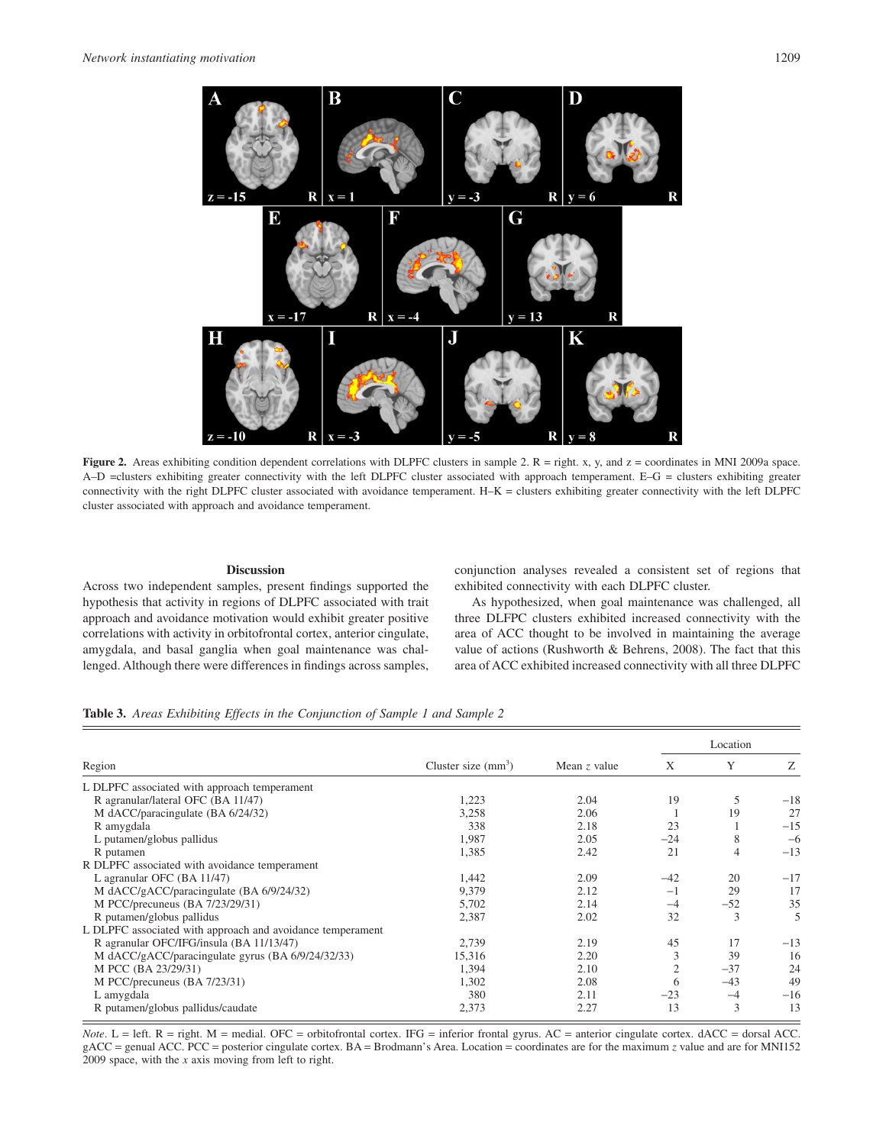

**Figure 2.** Areas exhibiting condition dependent correlations with DLPFC clusters in sample 2. R = right. x, y, and z = coordinates in MNI 2009a space. A–D =clusters exhibiting greater connectivity with the left DLPFC cluster associated with approach temperament. E–G = clusters exhibiting greater connectivity with the right DLPFC cluster associated with avoidance temperament. H–K = clusters exhibiting greater connectivity with the left DLPFC cluster associated with approach and avoidance temperament.

# **Discussion**

Across two independent samples, present findings supported the hypothesis that activity in regions of DLPFC associated with trait approach and avoidance motivation would exhibit greater positive correlations with activity in orbitofrontal cortex, anterior cingulate, amygdala, and basal ganglia when goal maintenance was challenged. Although there were differences in findings across samples, conjunction analyses revealed a consistent set of regions that exhibited connectivity with each DLPFC cluster.

As hypothesized, when goal maintenance was challenged, all three DLFPC clusters exhibited increased connectivity with the area of ACC thought to be involved in maintaining the average value of actions (Rushworth & Behrens, 2008). The fact that this area of ACC exhibited increased connectivity with all three DLPFC

**Table 3.** *Areas Exhibiting Effects in the Conjunction of Sample 1 and Sample 2*

|                                                            |                      |                | Location |       |       |  |
|------------------------------------------------------------|----------------------|----------------|----------|-------|-------|--|
| Region                                                     | Cluster size $(mm3)$ | Mean $z$ value | X        | Y     | Z     |  |
| L DLPFC associated with approach temperament               |                      |                |          |       |       |  |
| R agranular/lateral OFC (BA 11/47)                         | 1,223                | 2.04           | 19       | 5     | $-18$ |  |
| M dACC/paracingulate (BA 6/24/32)                          | 3,258                | 2.06           |          | 19    | 27    |  |
| R amygdala                                                 | 338                  | 2.18           | 23       |       | $-15$ |  |
| L putamen/globus pallidus                                  | 1,987                | 2.05           | $-24$    | 8     | $-6$  |  |
| R putamen                                                  | 1,385                | 2.42           | 21       | 4     | $-13$ |  |
| R DLPFC associated with avoidance temperament              |                      |                |          |       |       |  |
| L agranular OFC (BA 11/47)                                 | 1,442                | 2.09           | $-42$    | 20    | $-17$ |  |
| M dACC/gACC/paracingulate (BA 6/9/24/32)                   | 9,379                | 2.12           | $-1$     | 29    | 17    |  |
| M PCC/precuneus $(BA 7/23/29/31)$                          | 5,702                | 2.14           | $-4$     | $-52$ | 35    |  |
| R putamen/globus pallidus                                  | 2,387                | 2.02           | 32       | 3     | 5     |  |
| L DLPFC associated with approach and avoidance temperament |                      |                |          |       |       |  |
| R agranular OFC/IFG/insula (BA 11/13/47)                   | 2,739                | 2.19           | 45       | 17    | $-13$ |  |
| M dACC/gACC/paracingulate gyrus (BA 6/9/24/32/33)          | 15,316               | 2.20           | 3        | 39    | 16    |  |
| M PCC (BA 23/29/31)                                        | 1,394                | 2.10           |          | $-37$ | 24    |  |
| M PCC/precuneus (BA 7/23/31)                               | 1,302                | 2.08           | 6        | $-43$ | 49    |  |
| L amygdala                                                 | 380                  | 2.11           | $-23$    | $-4$  | $-16$ |  |
| R putamen/globus pallidus/caudate                          | 2,373                | 2.27           | 13       | 3     | 13    |  |

*Note*. L = left. R = right. M = medial. OFC = orbitofrontal cortex. IFG = inferior frontal gyrus. AC = anterior cingulate cortex. dACC = dorsal ACC. gACC = genual ACC. PCC = posterior cingulate cortex. BA = Brodmann's Area. Location = coordinates are for the maximum *z* value and are for MNI152 2009 space, with the *x* axis moving from left to right.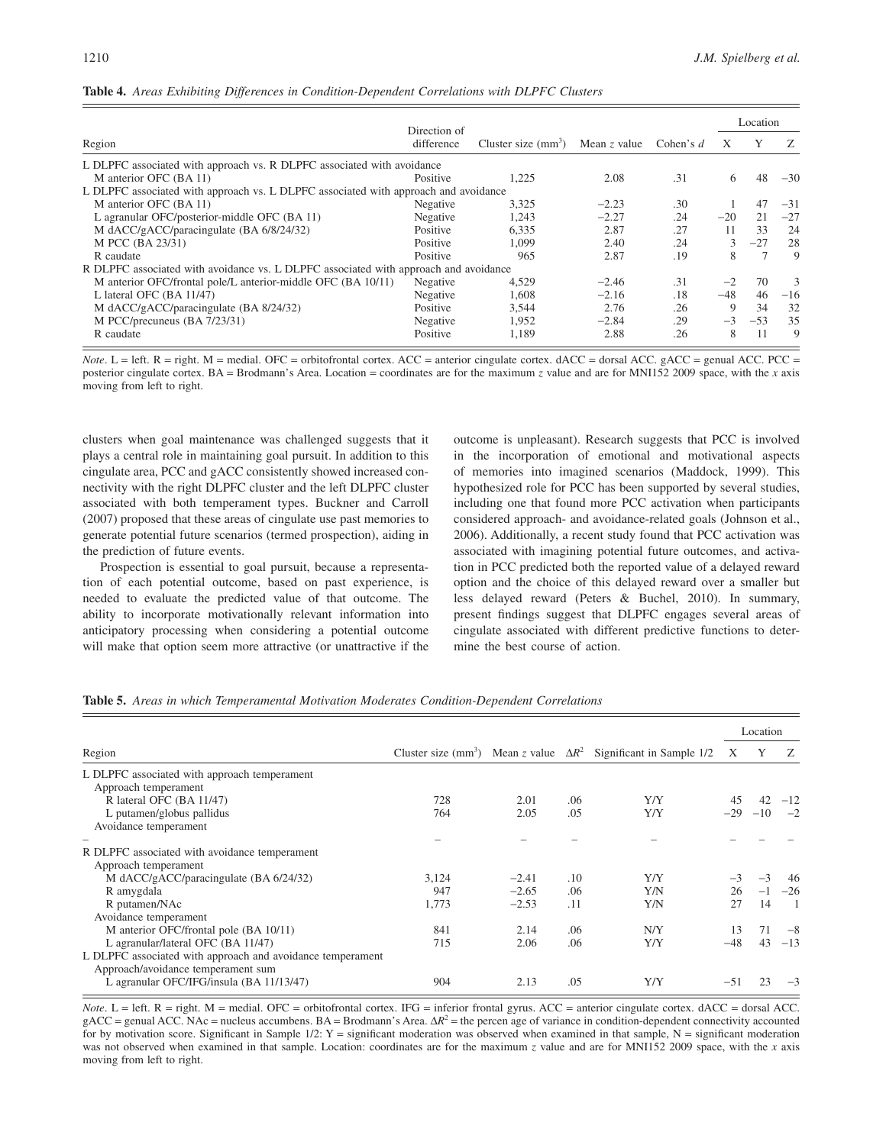|                                                                                      | Direction of |                      |              |             | Location |       |              |
|--------------------------------------------------------------------------------------|--------------|----------------------|--------------|-------------|----------|-------|--------------|
| Region                                                                               | difference   | Cluster size $(mm3)$ | Mean z value | Cohen's $d$ | X        | Y     | <sup>7</sup> |
| L DLPFC associated with approach vs. R DLPFC associated with avoidance               |              |                      |              |             |          |       |              |
| M anterior OFC (BA 11)                                                               | Positive     | 1,225                | 2.08         | .31         | 6        | 48    | $-30$        |
| L DLPFC associated with approach vs. L DLPFC associated with approach and avoidance  |              |                      |              |             |          |       |              |
| M anterior OFC (BA 11)                                                               | Negative     | 3,325                | $-2.23$      | .30         |          | 47    | $-31$        |
| L agranular OFC/posterior-middle OFC (BA 11)                                         | Negative     | 1,243                | $-2.27$      | .24         | $-20$    | 21    | $-27$        |
| M dACC/gACC/paracingulate (BA 6/8/24/32)                                             | Positive     | 6.335                | 2.87         | .27         | 11       | 33    | 24           |
| M PCC (BA 23/31)                                                                     | Positive     | 1.099                | 2.40         | .24         | 3        | $-27$ | 28           |
| R caudate                                                                            | Positive     | 965                  | 2.87         | .19         | 8        |       | 9            |
| R DLPFC associated with avoidance vs. L DLPFC associated with approach and avoidance |              |                      |              |             |          |       |              |
| M anterior OFC/frontal pole/L anterior-middle OFC (BA 10/11)                         | Negative     | 4,529                | $-2.46$      | .31         | $-2$     | 70    | 3            |
| L lateral OFC $(BA 11/47)$                                                           | Negative     | 1.608                | $-2.16$      | .18         | $-48$    | 46    | $-16$        |
| M dACC/gACC/paracingulate (BA 8/24/32)                                               | Positive     | 3.544                | 2.76         | .26         | 9        | 34    | 32           |
| M PCC/precuneus (BA 7/23/31)                                                         | Negative     | 1,952                | $-2.84$      | .29         | $-3$     | $-53$ | 35           |
| R caudate                                                                            | Positive     | 1,189                | 2.88         | .26         | 8        |       | 9            |

|  |  |  |  |  | Table 4. Areas Exhibiting Differences in Condition-Dependent Correlations with DLPFC Clusters |  |  |  |  |  |
|--|--|--|--|--|-----------------------------------------------------------------------------------------------|--|--|--|--|--|
|--|--|--|--|--|-----------------------------------------------------------------------------------------------|--|--|--|--|--|

*Note*. L = left. R = right. M = medial. OFC = orbitofrontal cortex. ACC = anterior cingulate cortex. dACC = dorsal ACC. gACC = genual ACC. PCC = posterior cingulate cortex. BA = Brodmann's Area. Location = coordinates are for the maximum *z* value and are for MNI152 2009 space, with the *x* axis moving from left to right.

clusters when goal maintenance was challenged suggests that it plays a central role in maintaining goal pursuit. In addition to this cingulate area, PCC and gACC consistently showed increased connectivity with the right DLPFC cluster and the left DLPFC cluster associated with both temperament types. Buckner and Carroll (2007) proposed that these areas of cingulate use past memories to generate potential future scenarios (termed prospection), aiding in the prediction of future events.

Prospection is essential to goal pursuit, because a representation of each potential outcome, based on past experience, is needed to evaluate the predicted value of that outcome. The ability to incorporate motivationally relevant information into anticipatory processing when considering a potential outcome will make that option seem more attractive (or unattractive if the

outcome is unpleasant). Research suggests that PCC is involved in the incorporation of emotional and motivational aspects of memories into imagined scenarios (Maddock, 1999). This hypothesized role for PCC has been supported by several studies, including one that found more PCC activation when participants considered approach- and avoidance-related goals (Johnson et al., 2006). Additionally, a recent study found that PCC activation was associated with imagining potential future outcomes, and activation in PCC predicted both the reported value of a delayed reward option and the choice of this delayed reward over a smaller but less delayed reward (Peters & Buchel, 2010). In summary, present findings suggest that DLPFC engages several areas of cingulate associated with different predictive functions to determine the best course of action.

| Y<br>Z                          |
|---------------------------------|
|                                 |
|                                 |
|                                 |
| $-12$                           |
|                                 |
|                                 |
|                                 |
|                                 |
|                                 |
| 46                              |
| $-26$                           |
|                                 |
|                                 |
| $-8$                            |
| $-13$                           |
|                                 |
|                                 |
|                                 |
| $-10$<br>$-1$<br>14<br>71<br>43 |

**Table 5.** *Areas in which Temperamental Motivation Moderates Condition-Dependent Correlations*

*Note*. L = left. R = right. M = medial. OFC = orbitofrontal cortex. IFG = inferior frontal gyrus. ACC = anterior cingulate cortex. dACC = dorsal ACC.  $gACC =$  genual ACC. NAc = nucleus accumbens.  $BA =$  Brodmann's Area.  $\Delta R^2$  = the percen age of variance in condition-dependent connectivity accounted for by motivation score. Significant in Sample  $1/2$ : Y = significant moderation was observed when examined in that sample, N = significant moderation was not observed when examined in that sample. Location: coordinates are for the maximum *z* value and are for MNI152 2009 space, with the *x* axis moving from left to right.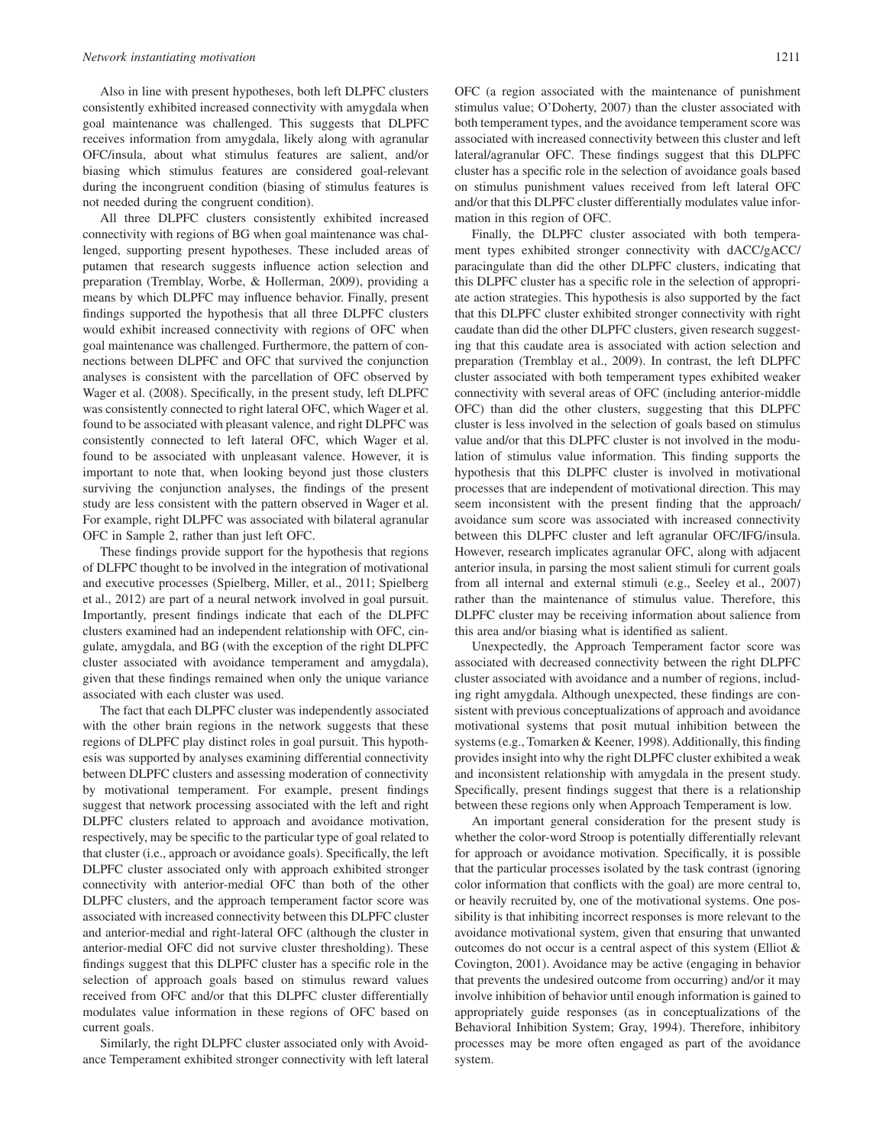Also in line with present hypotheses, both left DLPFC clusters consistently exhibited increased connectivity with amygdala when goal maintenance was challenged. This suggests that DLPFC receives information from amygdala, likely along with agranular OFC/insula, about what stimulus features are salient, and/or biasing which stimulus features are considered goal-relevant during the incongruent condition (biasing of stimulus features is not needed during the congruent condition).

All three DLPFC clusters consistently exhibited increased connectivity with regions of BG when goal maintenance was challenged, supporting present hypotheses. These included areas of putamen that research suggests influence action selection and preparation (Tremblay, Worbe, & Hollerman, 2009), providing a means by which DLPFC may influence behavior. Finally, present findings supported the hypothesis that all three DLPFC clusters would exhibit increased connectivity with regions of OFC when goal maintenance was challenged. Furthermore, the pattern of connections between DLPFC and OFC that survived the conjunction analyses is consistent with the parcellation of OFC observed by Wager et al. (2008). Specifically, in the present study, left DLPFC was consistently connected to right lateral OFC, which Wager et al. found to be associated with pleasant valence, and right DLPFC was consistently connected to left lateral OFC, which Wager et al. found to be associated with unpleasant valence. However, it is important to note that, when looking beyond just those clusters surviving the conjunction analyses, the findings of the present study are less consistent with the pattern observed in Wager et al. For example, right DLPFC was associated with bilateral agranular OFC in Sample 2, rather than just left OFC.

These findings provide support for the hypothesis that regions of DLFPC thought to be involved in the integration of motivational and executive processes (Spielberg, Miller, et al., 2011; Spielberg et al., 2012) are part of a neural network involved in goal pursuit. Importantly, present findings indicate that each of the DLPFC clusters examined had an independent relationship with OFC, cingulate, amygdala, and BG (with the exception of the right DLPFC cluster associated with avoidance temperament and amygdala), given that these findings remained when only the unique variance associated with each cluster was used.

The fact that each DLPFC cluster was independently associated with the other brain regions in the network suggests that these regions of DLPFC play distinct roles in goal pursuit. This hypothesis was supported by analyses examining differential connectivity between DLPFC clusters and assessing moderation of connectivity by motivational temperament. For example, present findings suggest that network processing associated with the left and right DLPFC clusters related to approach and avoidance motivation, respectively, may be specific to the particular type of goal related to that cluster (i.e., approach or avoidance goals). Specifically, the left DLPFC cluster associated only with approach exhibited stronger connectivity with anterior-medial OFC than both of the other DLPFC clusters, and the approach temperament factor score was associated with increased connectivity between this DLPFC cluster and anterior-medial and right-lateral OFC (although the cluster in anterior-medial OFC did not survive cluster thresholding). These findings suggest that this DLPFC cluster has a specific role in the selection of approach goals based on stimulus reward values received from OFC and/or that this DLPFC cluster differentially modulates value information in these regions of OFC based on current goals.

Similarly, the right DLPFC cluster associated only with Avoidance Temperament exhibited stronger connectivity with left lateral

OFC (a region associated with the maintenance of punishment stimulus value; O'Doherty, 2007) than the cluster associated with both temperament types, and the avoidance temperament score was associated with increased connectivity between this cluster and left lateral/agranular OFC. These findings suggest that this DLPFC cluster has a specific role in the selection of avoidance goals based on stimulus punishment values received from left lateral OFC and/or that this DLPFC cluster differentially modulates value information in this region of OFC.

Finally, the DLPFC cluster associated with both temperament types exhibited stronger connectivity with dACC/gACC/ paracingulate than did the other DLPFC clusters, indicating that this DLPFC cluster has a specific role in the selection of appropriate action strategies. This hypothesis is also supported by the fact that this DLPFC cluster exhibited stronger connectivity with right caudate than did the other DLPFC clusters, given research suggesting that this caudate area is associated with action selection and preparation (Tremblay et al., 2009). In contrast, the left DLPFC cluster associated with both temperament types exhibited weaker connectivity with several areas of OFC (including anterior-middle OFC) than did the other clusters, suggesting that this DLPFC cluster is less involved in the selection of goals based on stimulus value and/or that this DLPFC cluster is not involved in the modulation of stimulus value information. This finding supports the hypothesis that this DLPFC cluster is involved in motivational processes that are independent of motivational direction. This may seem inconsistent with the present finding that the approach/ avoidance sum score was associated with increased connectivity between this DLPFC cluster and left agranular OFC/IFG/insula. However, research implicates agranular OFC, along with adjacent anterior insula, in parsing the most salient stimuli for current goals from all internal and external stimuli (e.g., Seeley et al., 2007) rather than the maintenance of stimulus value. Therefore, this DLPFC cluster may be receiving information about salience from this area and/or biasing what is identified as salient.

Unexpectedly, the Approach Temperament factor score was associated with decreased connectivity between the right DLPFC cluster associated with avoidance and a number of regions, including right amygdala. Although unexpected, these findings are consistent with previous conceptualizations of approach and avoidance motivational systems that posit mutual inhibition between the systems (e.g., Tomarken & Keener, 1998). Additionally, this finding provides insight into why the right DLPFC cluster exhibited a weak and inconsistent relationship with amygdala in the present study. Specifically, present findings suggest that there is a relationship between these regions only when Approach Temperament is low.

An important general consideration for the present study is whether the color-word Stroop is potentially differentially relevant for approach or avoidance motivation. Specifically, it is possible that the particular processes isolated by the task contrast (ignoring color information that conflicts with the goal) are more central to, or heavily recruited by, one of the motivational systems. One possibility is that inhibiting incorrect responses is more relevant to the avoidance motivational system, given that ensuring that unwanted outcomes do not occur is a central aspect of this system (Elliot & Covington, 2001). Avoidance may be active (engaging in behavior that prevents the undesired outcome from occurring) and/or it may involve inhibition of behavior until enough information is gained to appropriately guide responses (as in conceptualizations of the Behavioral Inhibition System; Gray, 1994). Therefore, inhibitory processes may be more often engaged as part of the avoidance system.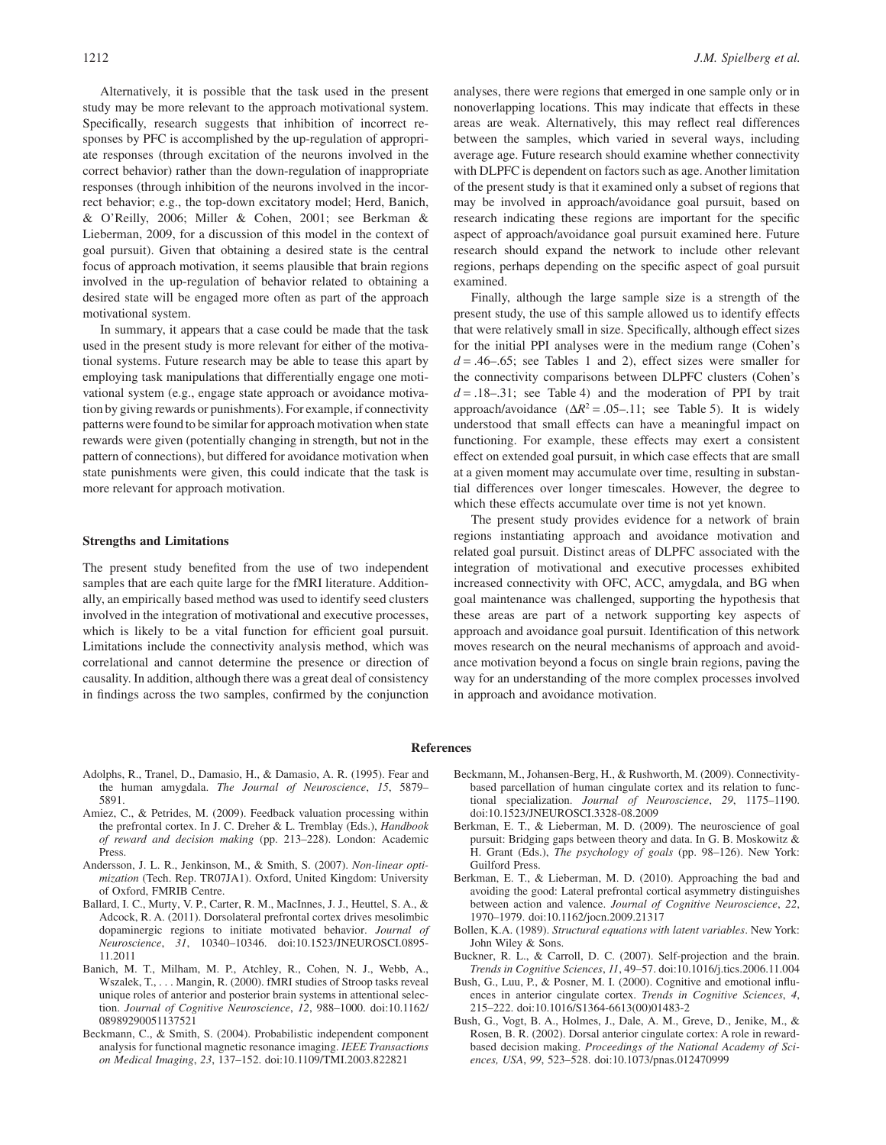Alternatively, it is possible that the task used in the present study may be more relevant to the approach motivational system. Specifically, research suggests that inhibition of incorrect responses by PFC is accomplished by the up-regulation of appropriate responses (through excitation of the neurons involved in the correct behavior) rather than the down-regulation of inappropriate responses (through inhibition of the neurons involved in the incorrect behavior; e.g., the top-down excitatory model; Herd, Banich, & O'Reilly, 2006; Miller & Cohen, 2001; see Berkman & Lieberman, 2009, for a discussion of this model in the context of goal pursuit). Given that obtaining a desired state is the central focus of approach motivation, it seems plausible that brain regions involved in the up-regulation of behavior related to obtaining a desired state will be engaged more often as part of the approach motivational system.

In summary, it appears that a case could be made that the task used in the present study is more relevant for either of the motivational systems. Future research may be able to tease this apart by employing task manipulations that differentially engage one motivational system (e.g., engage state approach or avoidance motivation by giving rewards or punishments). For example, if connectivity patterns were found to be similar for approach motivation when state rewards were given (potentially changing in strength, but not in the pattern of connections), but differed for avoidance motivation when state punishments were given, this could indicate that the task is more relevant for approach motivation.

#### **Strengths and Limitations**

The present study benefited from the use of two independent samples that are each quite large for the fMRI literature. Additionally, an empirically based method was used to identify seed clusters involved in the integration of motivational and executive processes, which is likely to be a vital function for efficient goal pursuit. Limitations include the connectivity analysis method, which was correlational and cannot determine the presence or direction of causality. In addition, although there was a great deal of consistency in findings across the two samples, confirmed by the conjunction

analyses, there were regions that emerged in one sample only or in nonoverlapping locations. This may indicate that effects in these areas are weak. Alternatively, this may reflect real differences between the samples, which varied in several ways, including average age. Future research should examine whether connectivity with DLPFC is dependent on factors such as age. Another limitation of the present study is that it examined only a subset of regions that may be involved in approach/avoidance goal pursuit, based on research indicating these regions are important for the specific aspect of approach/avoidance goal pursuit examined here. Future research should expand the network to include other relevant regions, perhaps depending on the specific aspect of goal pursuit examined.

Finally, although the large sample size is a strength of the present study, the use of this sample allowed us to identify effects that were relatively small in size. Specifically, although effect sizes for the initial PPI analyses were in the medium range (Cohen's  $d = 0.46 - 0.65$ ; see Tables 1 and 2), effect sizes were smaller for the connectivity comparisons between DLPFC clusters (Cohen's  $d = .18 - .31$ ; see Table 4) and the moderation of PPI by trait approach/avoidance  $(\Delta R^2 = .05-.11)$ ; see Table 5). It is widely understood that small effects can have a meaningful impact on functioning. For example, these effects may exert a consistent effect on extended goal pursuit, in which case effects that are small at a given moment may accumulate over time, resulting in substantial differences over longer timescales. However, the degree to which these effects accumulate over time is not yet known.

The present study provides evidence for a network of brain regions instantiating approach and avoidance motivation and related goal pursuit. Distinct areas of DLPFC associated with the integration of motivational and executive processes exhibited increased connectivity with OFC, ACC, amygdala, and BG when goal maintenance was challenged, supporting the hypothesis that these areas are part of a network supporting key aspects of approach and avoidance goal pursuit. Identification of this network moves research on the neural mechanisms of approach and avoidance motivation beyond a focus on single brain regions, paving the way for an understanding of the more complex processes involved in approach and avoidance motivation.

# **References**

- Adolphs, R., Tranel, D., Damasio, H., & Damasio, A. R. (1995). Fear and the human amygdala. *The Journal of Neuroscience*, *15*, 5879– 5891.
- Amiez, C., & Petrides, M. (2009). Feedback valuation processing within the prefrontal cortex. In J. C. Dreher & L. Tremblay (Eds.), *Handbook of reward and decision making* (pp. 213–228). London: Academic Press.
- Andersson, J. L. R., Jenkinson, M., & Smith, S. (2007). *Non-linear optimization* (Tech. Rep. TR07JA1). Oxford, United Kingdom: University of Oxford, FMRIB Centre.
- Ballard, I. C., Murty, V. P., Carter, R. M., MacInnes, J. J., Heuttel, S. A., & Adcock, R. A. (2011). Dorsolateral prefrontal cortex drives mesolimbic dopaminergic regions to initiate motivated behavior. *Journal of Neuroscience*, *31*, 10340–10346. doi:10.1523/JNEUROSCI.0895- 11.2011
- Banich, M. T., Milham, M. P., Atchley, R., Cohen, N. J., Webb, A., Wszalek, T., . . . Mangin, R. (2000). fMRI studies of Stroop tasks reveal unique roles of anterior and posterior brain systems in attentional selection. *Journal of Cognitive Neuroscience*, *12*, 988–1000. doi:10.1162/ 08989290051137521
- Beckmann, C., & Smith, S. (2004). Probabilistic independent component analysis for functional magnetic resonance imaging. *IEEE Transactions on Medical Imaging*, *23*, 137–152. doi:10.1109/TMI.2003.822821
- Beckmann, M., Johansen-Berg, H., & Rushworth, M. (2009). Connectivitybased parcellation of human cingulate cortex and its relation to functional specialization. *Journal of Neuroscience*, *29*, 1175–1190. doi:10.1523/JNEUROSCI.3328-08.2009
- Berkman, E. T., & Lieberman, M. D. (2009). The neuroscience of goal pursuit: Bridging gaps between theory and data. In G. B. Moskowitz & H. Grant (Eds.), *The psychology of goals* (pp. 98–126). New York: Guilford Press.
- Berkman, E. T., & Lieberman, M. D. (2010). Approaching the bad and avoiding the good: Lateral prefrontal cortical asymmetry distinguishes between action and valence. *Journal of Cognitive Neuroscience*, *22*, 1970–1979. doi:10.1162/jocn.2009.21317
- Bollen, K.A. (1989). *Structural equations with latent variables*. New York: John Wiley & Sons.
- Buckner, R. L., & Carroll, D. C. (2007). Self-projection and the brain. *Trends in Cognitive Sciences*, *11*, 49–57. doi:10.1016/j.tics.2006.11.004
- Bush, G., Luu, P., & Posner, M. I. (2000). Cognitive and emotional influences in anterior cingulate cortex. *Trends in Cognitive Sciences*, *4*, 215–222. doi:10.1016/S1364-6613(00)01483-2
- Bush, G., Vogt, B. A., Holmes, J., Dale, A. M., Greve, D., Jenike, M., & Rosen, B. R. (2002). Dorsal anterior cingulate cortex: A role in rewardbased decision making. *Proceedings of the National Academy of Sciences, USA*, *99*, 523–528. doi:10.1073/pnas.012470999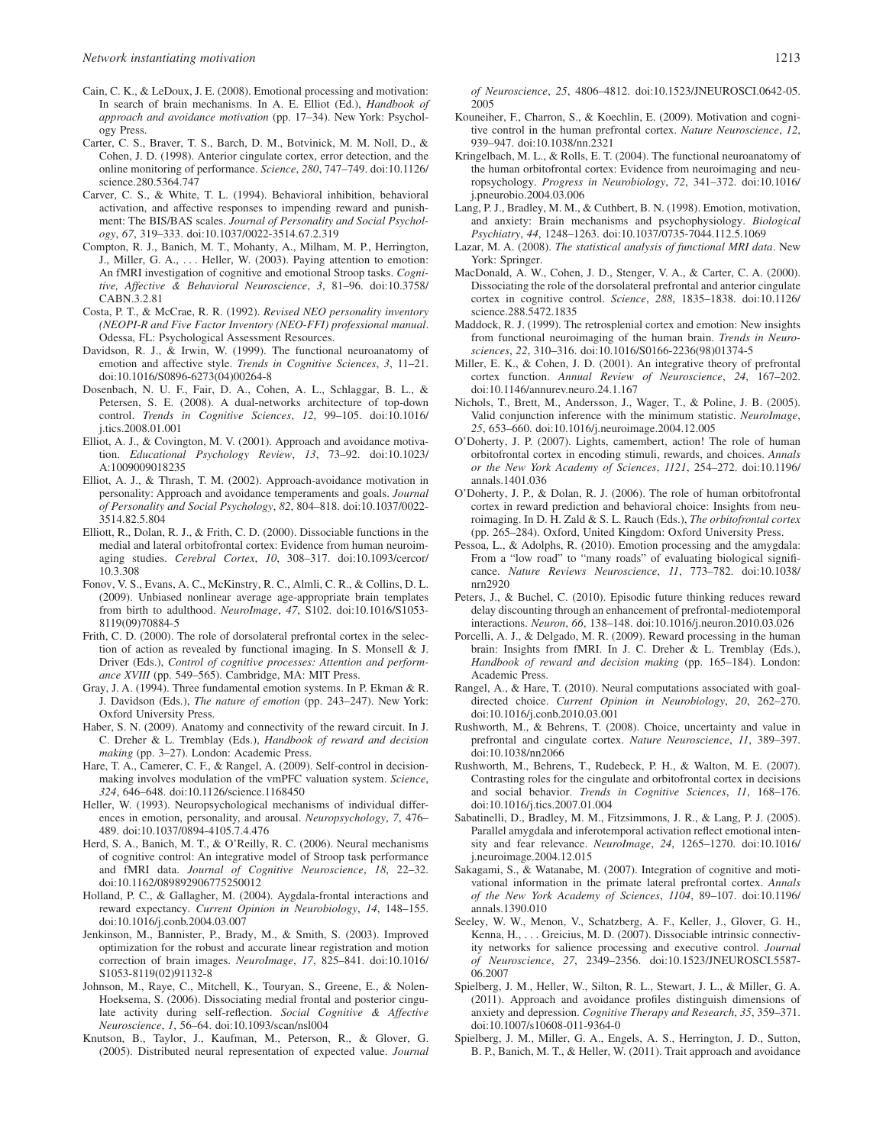- Cain, C. K., & LeDoux, J. E. (2008). Emotional processing and motivation: In search of brain mechanisms. In A. E. Elliot (Ed.), *Handbook of approach and avoidance motivation* (pp. 17–34). New York: Psychology Press.
- Carter, C. S., Braver, T. S., Barch, D. M., Botvinick, M. M. Noll, D., & Cohen, J. D. (1998). Anterior cingulate cortex, error detection, and the online monitoring of performance. *Science*, *280*, 747–749. doi:10.1126/ science.280.5364.747
- Carver, C. S., & White, T. L. (1994). Behavioral inhibition, behavioral activation, and affective responses to impending reward and punishment: The BIS/BAS scales. *Journal of Personality and Social Psychology*, *67*, 319–333. doi:10.1037/0022-3514.67.2.319
- Compton, R. J., Banich, M. T., Mohanty, A., Milham, M. P., Herrington, J., Miller, G. A., . . . Heller, W. (2003). Paying attention to emotion: An fMRI investigation of cognitive and emotional Stroop tasks. *Cognitive, Affective & Behavioral Neuroscience*, *3*, 81–96. doi:10.3758/ CABN.3.2.81
- Costa, P. T., & McCrae, R. R. (1992). *Revised NEO personality inventory (NEOPI-R and Five Factor Inventory (NEO-FFI) professional manual*. Odessa, FL: Psychological Assessment Resources.
- Davidson, R. J., & Irwin, W. (1999). The functional neuroanatomy of emotion and affective style. *Trends in Cognitive Sciences*, *3*, 11–21. doi:10.1016/S0896-6273(04)00264-8
- Dosenbach, N. U. F., Fair, D. A., Cohen, A. L., Schlaggar, B. L., & Petersen, S. E. (2008). A dual-networks architecture of top-down control. *Trends in Cognitive Sciences*, *12*, 99–105. doi:10.1016/ j.tics.2008.01.001
- Elliot, A. J., & Covington, M. V. (2001). Approach and avoidance motivation. *Educational Psychology Review*, *13*, 73–92. doi:10.1023/ A:1009009018235
- Elliot, A. J., & Thrash, T. M. (2002). Approach-avoidance motivation in personality: Approach and avoidance temperaments and goals. *Journal of Personality and Social Psychology*, *82*, 804–818. doi:10.1037/0022- 3514.82.5.804
- Elliott, R., Dolan, R. J., & Frith, C. D. (2000). Dissociable functions in the medial and lateral orbitofrontal cortex: Evidence from human neuroimaging studies. *Cerebral Cortex*, *10*, 308–317. doi:10.1093/cercor/ 10.3.308
- Fonov, V. S., Evans, A. C., McKinstry, R. C., Almli, C. R., & Collins, D. L. (2009). Unbiased nonlinear average age-appropriate brain templates from birth to adulthood. *NeuroImage*, *47*, S102. doi:10.1016/S1053- 8119(09)70884-5
- Frith, C. D. (2000). The role of dorsolateral prefrontal cortex in the selection of action as revealed by functional imaging. In S. Monsell & J. Driver (Eds.), *Control of cognitive processes: Attention and performance XVIII* (pp. 549–565). Cambridge, MA: MIT Press.
- Gray, J. A. (1994). Three fundamental emotion systems. In P. Ekman & R. J. Davidson (Eds.), *The nature of emotion* (pp. 243–247). New York: Oxford University Press.
- Haber, S. N. (2009). Anatomy and connectivity of the reward circuit. In J. C. Dreher & L. Tremblay (Eds.), *Handbook of reward and decision making* (pp. 3–27). London: Academic Press.
- Hare, T. A., Camerer, C. F., & Rangel, A. (2009). Self-control in decisionmaking involves modulation of the vmPFC valuation system. *Science*, *324*, 646–648. doi:10.1126/science.1168450
- Heller, W. (1993). Neuropsychological mechanisms of individual differences in emotion, personality, and arousal. *Neuropsychology*, *7*, 476– 489. doi:10.1037/0894-4105.7.4.476
- Herd, S. A., Banich, M. T., & O'Reilly, R. C. (2006). Neural mechanisms of cognitive control: An integrative model of Stroop task performance and fMRI data. *Journal of Cognitive Neuroscience*, *18*, 22–32. doi:10.1162/089892906775250012
- Holland, P. C., & Gallagher, M. (2004). Aygdala-frontal interactions and reward expectancy. *Current Opinion in Neurobiology*, *14*, 148–155. doi:10.1016/j.conb.2004.03.007
- Jenkinson, M., Bannister, P., Brady, M., & Smith, S. (2003). Improved optimization for the robust and accurate linear registration and motion correction of brain images. *NeuroImage*, *17*, 825–841. doi:10.1016/ S1053-8119(02)91132-8
- Johnson, M., Raye, C., Mitchell, K., Touryan, S., Greene, E., & Nolen-Hoeksema, S. (2006). Dissociating medial frontal and posterior cingulate activity during self-reflection. *Social Cognitive & Affective Neuroscience*, *1*, 56–64. doi:10.1093/scan/nsl004
- Knutson, B., Taylor, J., Kaufman, M., Peterson, R., & Glover, G. (2005). Distributed neural representation of expected value. *Journal*

*of Neuroscience*, *25*, 4806–4812. doi:10.1523/JNEUROSCI.0642-05. 2005

- Kouneiher, F., Charron, S., & Koechlin, E. (2009). Motivation and cognitive control in the human prefrontal cortex. *Nature Neuroscience*, *12*, 939–947. doi:10.1038/nn.2321
- Kringelbach, M. L., & Rolls, E. T. (2004). The functional neuroanatomy of the human orbitofrontal cortex: Evidence from neuroimaging and neuropsychology. *Progress in Neurobiology*, *72*, 341–372. doi:10.1016/ j.pneurobio.2004.03.006
- Lang, P. J., Bradley, M. M., & Cuthbert, B. N. (1998). Emotion, motivation, and anxiety: Brain mechanisms and psychophysiology. *Biological Psychiatry*, *44*, 1248–1263. doi:10.1037/0735-7044.112.5.1069
- Lazar, M. A. (2008). *The statistical analysis of functional MRI data*. New York: Springer.
- MacDonald, A. W., Cohen, J. D., Stenger, V. A., & Carter, C. A. (2000). Dissociating the role of the dorsolateral prefrontal and anterior cingulate cortex in cognitive control. *Science*, *288*, 1835–1838. doi:10.1126/ science.288.5472.1835
- Maddock, R. J. (1999). The retrosplenial cortex and emotion: New insights from functional neuroimaging of the human brain. *Trends in Neurosciences*, *22*, 310–316. doi:10.1016/S0166-2236(98)01374-5
- Miller, E. K., & Cohen, J. D. (2001). An integrative theory of prefrontal cortex function. *Annual Review of Neuroscience*, *24*, 167–202. doi:10.1146/annurev.neuro.24.1.167
- Nichols, T., Brett, M., Andersson, J., Wager, T., & Poline, J. B. (2005). Valid conjunction inference with the minimum statistic. *NeuroImage*, *25*, 653–660. doi:10.1016/j.neuroimage.2004.12.005
- O'Doherty, J. P. (2007). Lights, camembert, action! The role of human orbitofrontal cortex in encoding stimuli, rewards, and choices. *Annals or the New York Academy of Sciences*, *1121*, 254–272. doi:10.1196/ annals.1401.036
- O'Doherty, J. P., & Dolan, R. J. (2006). The role of human orbitofrontal cortex in reward prediction and behavioral choice: Insights from neuroimaging. In D. H. Zald & S. L. Rauch (Eds.), *The orbitofrontal cortex* (pp. 265–284). Oxford, United Kingdom: Oxford University Press.
- Pessoa, L., & Adolphs, R. (2010). Emotion processing and the amygdala: From a "low road" to "many roads" of evaluating biological significance. *Nature Reviews Neuroscience*, *11*, 773–782. doi:10.1038/ nrn2920
- Peters, J., & Buchel, C. (2010). Episodic future thinking reduces reward delay discounting through an enhancement of prefrontal-mediotemporal interactions. *Neuron*, *66*, 138–148. doi:10.1016/j.neuron.2010.03.026
- Porcelli, A. J., & Delgado, M. R. (2009). Reward processing in the human brain: Insights from fMRI. In J. C. Dreher & L. Tremblay (Eds.), *Handbook of reward and decision making* (pp. 165–184). London: Academic Press.
- Rangel, A., & Hare, T. (2010). Neural computations associated with goaldirected choice. *Current Opinion in Neurobiology*, *20*, 262–270. doi:10.1016/j.conb.2010.03.001
- Rushworth, M., & Behrens, T. (2008). Choice, uncertainty and value in prefrontal and cingulate cortex. *Nature Neuroscience*, *11*, 389–397. doi:10.1038/nn2066
- Rushworth, M., Behrens, T., Rudebeck, P. H., & Walton, M. E. (2007). Contrasting roles for the cingulate and orbitofrontal cortex in decisions and social behavior. *Trends in Cognitive Sciences*, *11*, 168–176. doi:10.1016/j.tics.2007.01.004
- Sabatinelli, D., Bradley, M. M., Fitzsimmons, J. R., & Lang, P. J. (2005). Parallel amygdala and inferotemporal activation reflect emotional intensity and fear relevance. *NeuroImage*, *24*, 1265–1270. doi:10.1016/ j.neuroimage.2004.12.015
- Sakagami, S., & Watanabe, M. (2007). Integration of cognitive and motivational information in the primate lateral prefrontal cortex. *Annals of the New York Academy of Sciences*, *1104*, 89–107. doi:10.1196/ annals.1390.010
- Seeley, W. W., Menon, V., Schatzberg, A. F., Keller, J., Glover, G. H., Kenna, H., . . . Greicius, M. D. (2007). Dissociable intrinsic connectivity networks for salience processing and executive control. *Journal of Neuroscience*, *27*, 2349–2356. doi:10.1523/JNEUROSCI.5587- 06.2007
- Spielberg, J. M., Heller, W., Silton, R. L., Stewart, J. L., & Miller, G. A. (2011). Approach and avoidance profiles distinguish dimensions of anxiety and depression. *Cognitive Therapy and Research*, *35*, 359–371. doi:10.1007/s10608-011-9364-0
- Spielberg, J. M., Miller, G. A., Engels, A. S., Herrington, J. D., Sutton, B. P., Banich, M. T., & Heller, W. (2011). Trait approach and avoidance